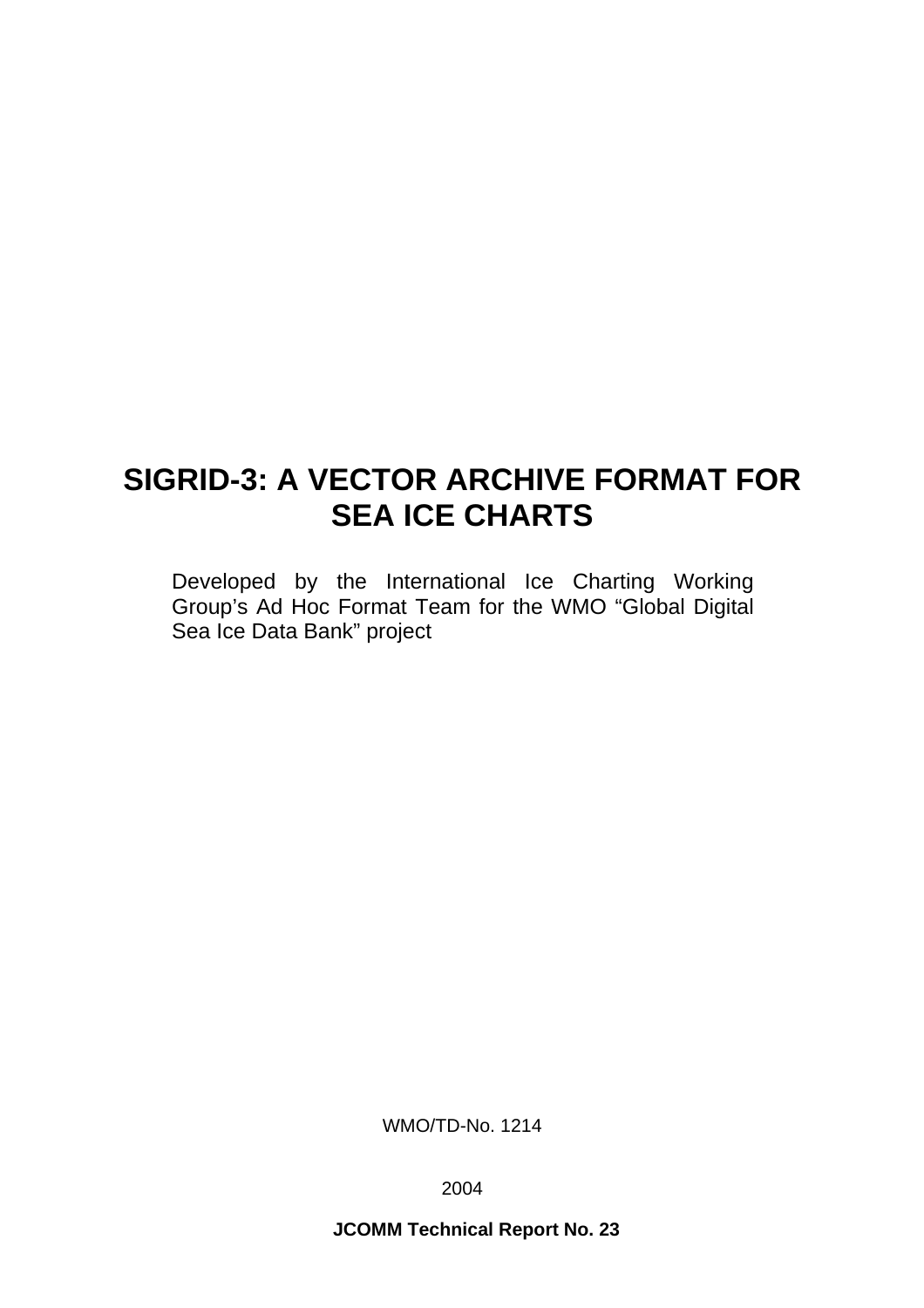# **SIGRID-3: A VECTOR ARCHIVE FORMAT FOR SEA ICE CHARTS**

Developed by the International Ice Charting Working Group's Ad Hoc Format Team for the WMO "Global Digital Sea Ice Data Bank" project

WMO/TD-No. 1214

2004

**JCOMM Technical Report No. 23**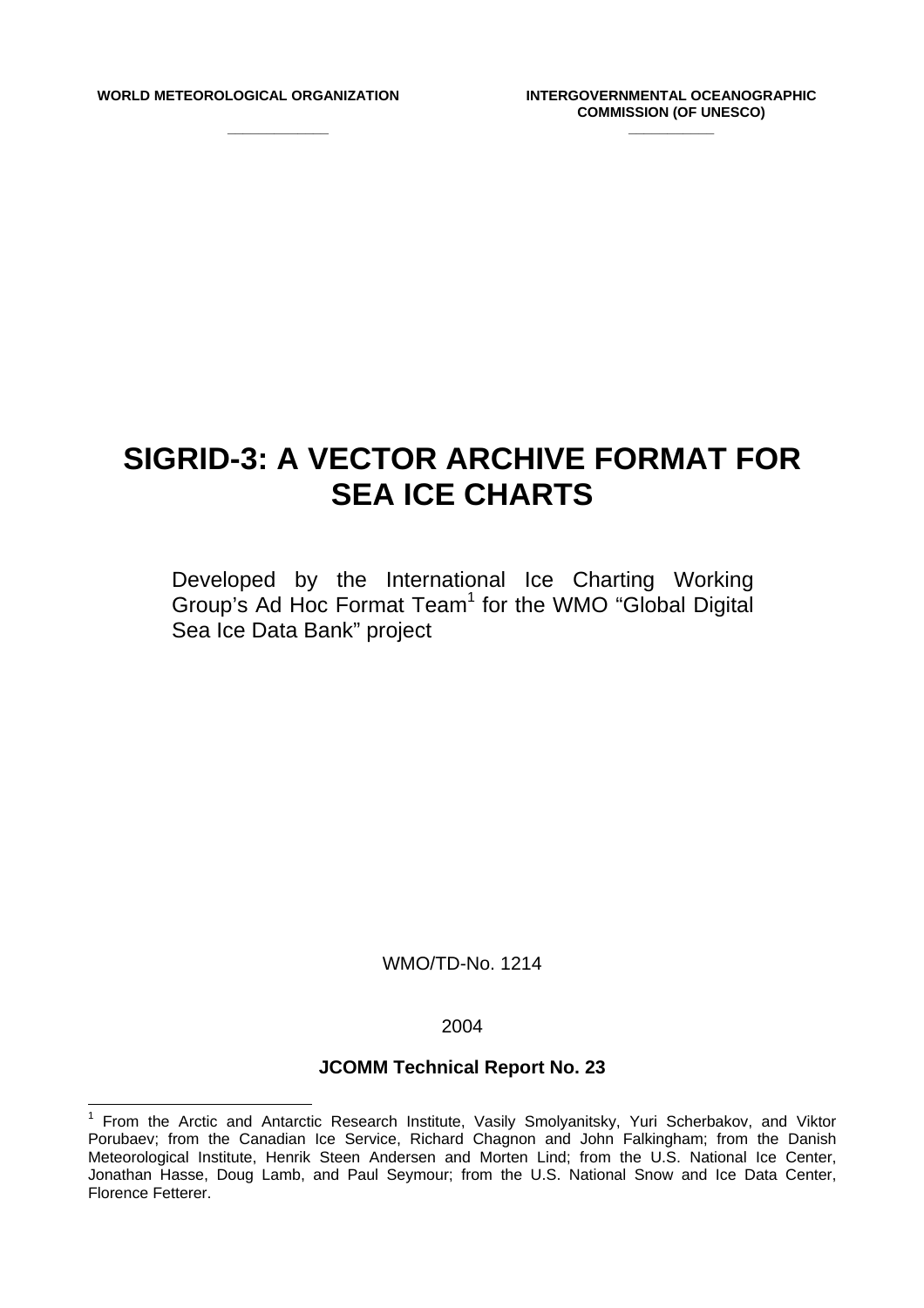**\_\_\_\_\_\_\_\_\_\_\_\_\_** 

# **SIGRID-3: A VECTOR ARCHIVE FORMAT FOR SEA ICE CHARTS**

Developed by the International Ice Charting Working Group's Ad Hoc Format Team<sup>[1](#page-2-0)</sup> for the WMO "Global Digital Sea Ice Data Bank" project

WMO/TD-No. 1214

#### 2004

# **JCOMM Technical Report No. 23**

<span id="page-2-0"></span><sup>&</sup>lt;u>nect</u><br><sup>1</sup> From the Arctic and Antarctic Research Institute, Vasily Smolyanitsky, Yuri Scherbakov, and Viktor Porubaev; from the Canadian Ice Service, Richard Chagnon and John Falkingham; from the Danish Meteorological Institute, Henrik Steen Andersen and Morten Lind; from the U.S. National Ice Center, Jonathan Hasse, Doug Lamb, and Paul Seymour; from the U.S. National Snow and Ice Data Center, Florence Fetterer.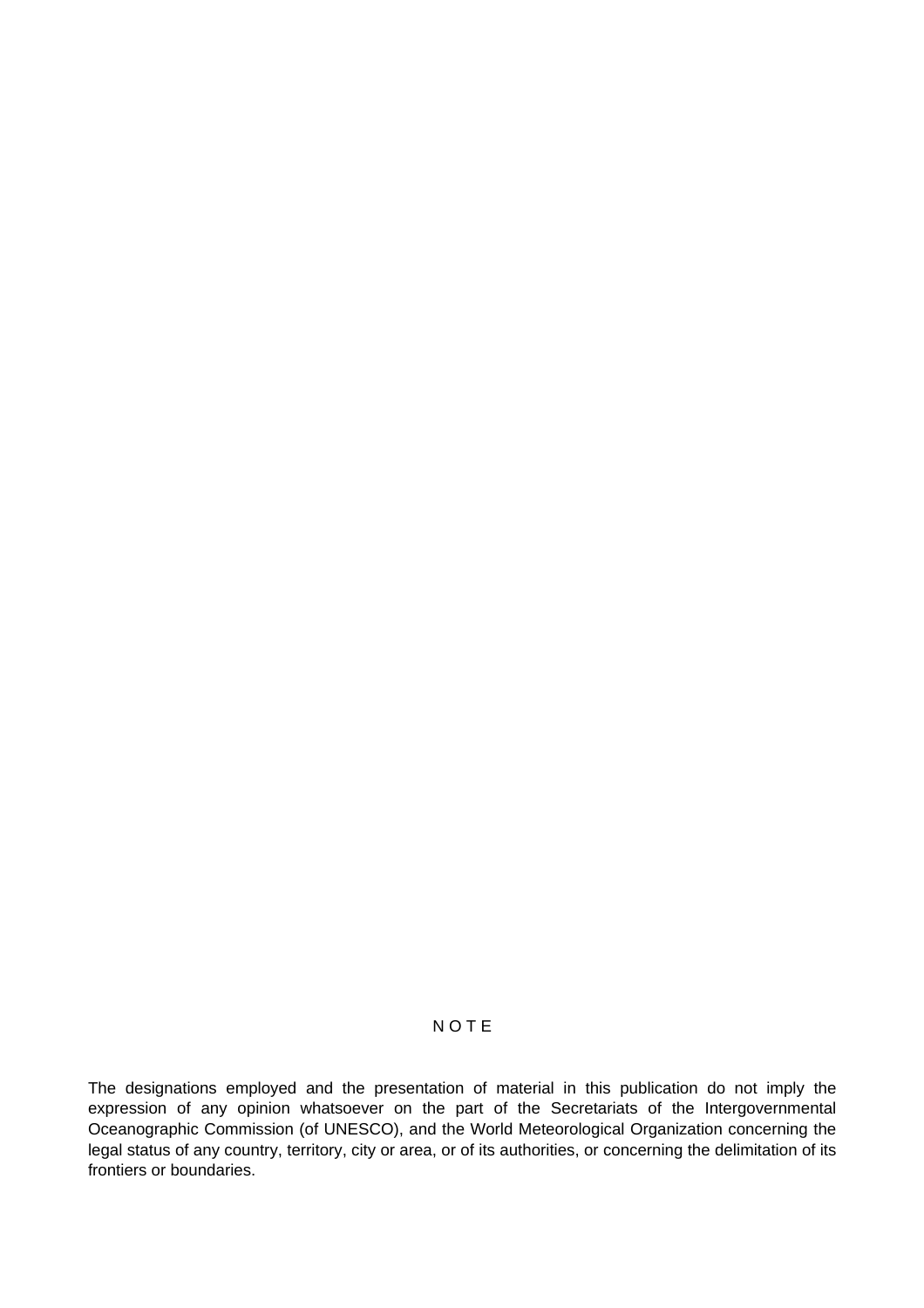# N O T E

The designations employed and the presentation of material in this publication do not imply the expression of any opinion whatsoever on the part of the Secretariats of the Intergovernmental Oceanographic Commission (of UNESCO), and the World Meteorological Organization concerning the legal status of any country, territory, city or area, or of its authorities, or concerning the delimitation of its frontiers or boundaries.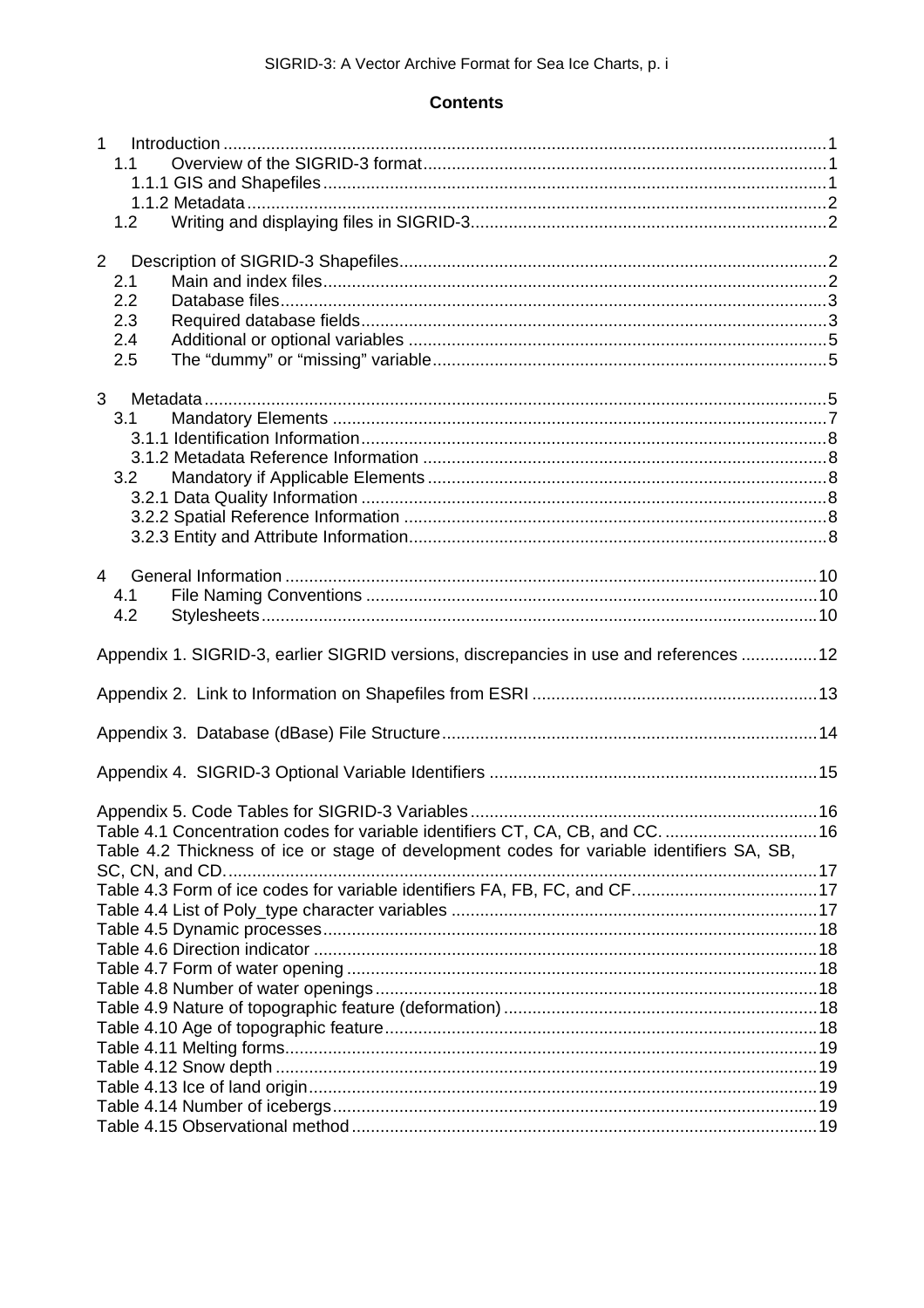# **Contents**

| $\mathbf{1}$<br>1.1                                                                       |  |
|-------------------------------------------------------------------------------------------|--|
|                                                                                           |  |
|                                                                                           |  |
| 1.2                                                                                       |  |
|                                                                                           |  |
| $2^{\circ}$                                                                               |  |
| 2.1                                                                                       |  |
| 2.2                                                                                       |  |
| 2.3                                                                                       |  |
| 2.4                                                                                       |  |
| 2.5                                                                                       |  |
|                                                                                           |  |
| 3                                                                                         |  |
| 3.1                                                                                       |  |
|                                                                                           |  |
|                                                                                           |  |
| 3.2                                                                                       |  |
|                                                                                           |  |
|                                                                                           |  |
|                                                                                           |  |
|                                                                                           |  |
| $\overline{4}$                                                                            |  |
| 4.1                                                                                       |  |
| 4.2                                                                                       |  |
| Appendix 1. SIGRID-3, earlier SIGRID versions, discrepancies in use and references  12    |  |
|                                                                                           |  |
|                                                                                           |  |
|                                                                                           |  |
|                                                                                           |  |
| Table 4.1 Concentration codes for variable identifiers CT, CA, CB, and CC.  16            |  |
| Table 4.2 Thickness of ice or stage of development codes for variable identifiers SA, SB, |  |
|                                                                                           |  |
| Table 4.3 Form of ice codes for variable identifiers FA, FB, FC, and CF17                 |  |
|                                                                                           |  |
|                                                                                           |  |
|                                                                                           |  |
|                                                                                           |  |
|                                                                                           |  |
|                                                                                           |  |
|                                                                                           |  |
|                                                                                           |  |
|                                                                                           |  |
|                                                                                           |  |
|                                                                                           |  |
|                                                                                           |  |
|                                                                                           |  |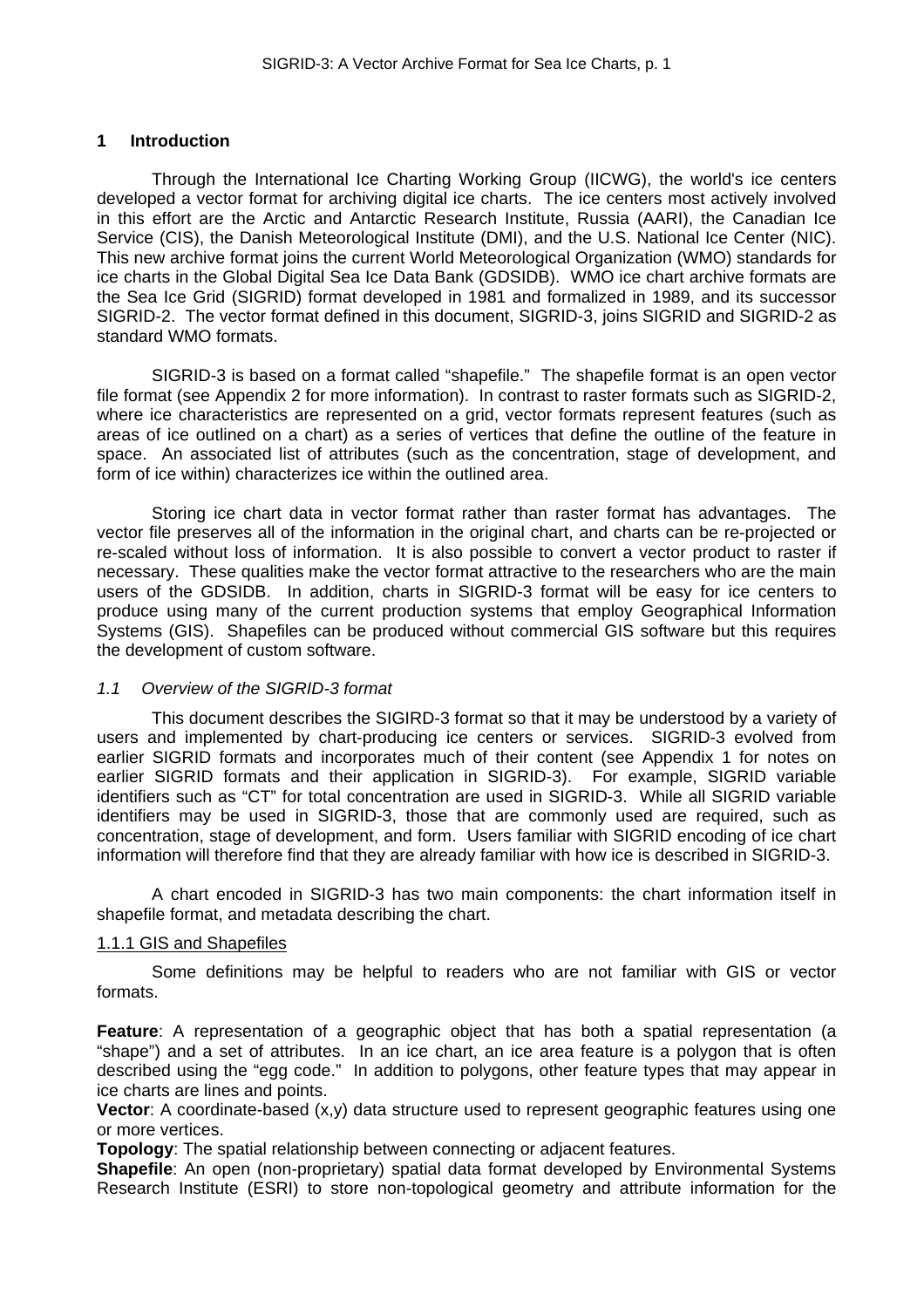# <span id="page-5-0"></span>**1 Introduction**

Through the International Ice Charting Working Group (IICWG), the world's ice centers developed a vector format for archiving digital ice charts. The ice centers most actively involved in this effort are the Arctic and Antarctic Research Institute, Russia (AARI), the Canadian Ice Service (CIS), the Danish Meteorological Institute (DMI), and the U.S. National Ice Center (NIC). This new archive format joins the current World Meteorological Organization (WMO) standards for ice charts in the Global Digital Sea Ice Data Bank (GDSIDB). WMO ice chart archive formats are the Sea Ice Grid (SIGRID) format developed in 1981 and formalized in 1989, and its successor SIGRID-2. The vector format defined in this document, SIGRID-3, joins SIGRID and SIGRID-2 as standard WMO formats.

SIGRID-3 is based on a format called "shapefile." The shapefile format is an open vector file format (see Appendix 2 for more information). In contrast to raster formats such as SIGRID-2, where ice characteristics are represented on a grid, vector formats represent features (such as areas of ice outlined on a chart) as a series of vertices that define the outline of the feature in space. An associated list of attributes (such as the concentration, stage of development, and form of ice within) characterizes ice within the outlined area.

Storing ice chart data in vector format rather than raster format has advantages. The vector file preserves all of the information in the original chart, and charts can be re-projected or re-scaled without loss of information. It is also possible to convert a vector product to raster if necessary. These qualities make the vector format attractive to the researchers who are the main users of the GDSIDB. In addition, charts in SIGRID-3 format will be easy for ice centers to produce using many of the current production systems that employ Geographical Information Systems (GIS). Shapefiles can be produced without commercial GIS software but this requires the development of custom software.

# <span id="page-5-1"></span>*1.1 Overview of the SIGRID-3 format*

This document describes the SIGIRD-3 format so that it may be understood by a variety of users and implemented by chart-producing ice centers or services. SIGRID-3 evolved from earlier SIGRID formats and incorporates much of their content (see Appendix 1 for notes on earlier SIGRID formats and their application in SIGRID-3). For example, SIGRID variable identifiers such as "CT" for total concentration are used in SIGRID-3. While all SIGRID variable identifiers may be used in SIGRID-3, those that are commonly used are required, such as concentration, stage of development, and form. Users familiar with SIGRID encoding of ice chart information will therefore find that they are already familiar with how ice is described in SIGRID-3.

A chart encoded in SIGRID-3 has two main components: the chart information itself in shapefile format, and metadata describing the chart.

#### <span id="page-5-2"></span>1.1.1 GIS and Shapefiles

Some definitions may be helpful to readers who are not familiar with GIS or vector formats.

**Feature**: A representation of a geographic object that has both a spatial representation (a "shape") and a set of attributes. In an ice chart, an ice area feature is a polygon that is often described using the "egg code." In addition to polygons, other feature types that may appear in ice charts are lines and points.

**Vector**: A coordinate-based  $(x,y)$  data structure used to represent geographic features using one or more vertices.

**Topology**: The spatial relationship between connecting or adjacent features.

**Shapefile**: An open (non-proprietary) spatial data format developed by Environmental Systems Research Institute (ESRI) to store non-topological geometry and attribute information for the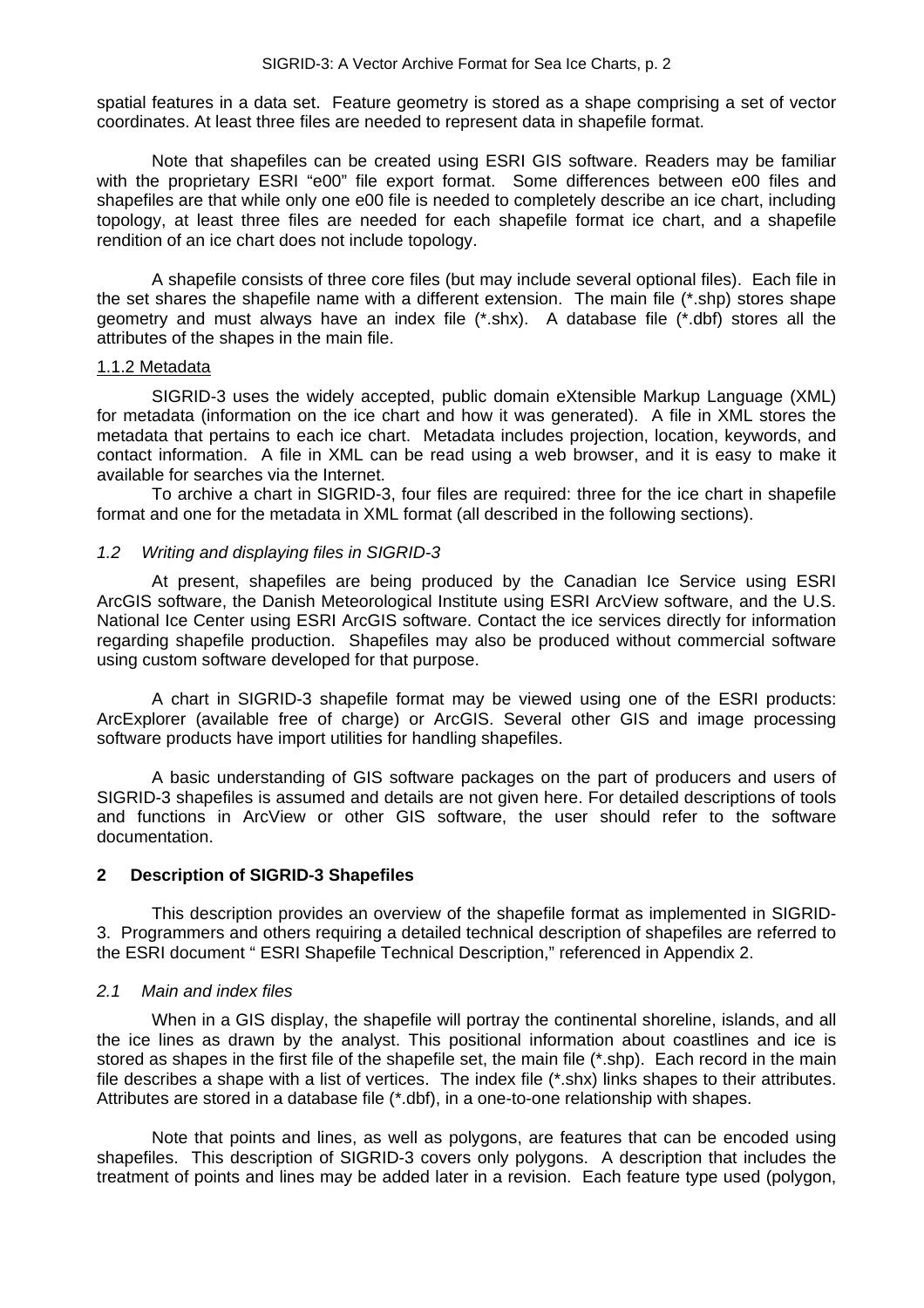spatial features in a data set. Feature geometry is stored as a shape comprising a set of vector coordinates. At least three files are needed to represent data in shapefile format.

Note that shapefiles can be created using ESRI GIS software. Readers may be familiar with the proprietary ESRI "e00" file export format. Some differences between e00 files and shapefiles are that while only one e00 file is needed to completely describe an ice chart, including topology, at least three files are needed for each shapefile format ice chart, and a shapefile rendition of an ice chart does not include topology.

A shapefile consists of three core files (but may include several optional files). Each file in the set shares the shapefile name with a different extension. The main file (\*.shp) stores shape geometry and must always have an index file  $(*.$ shx). A database file  $(*.$ dbf) stores all the attributes of the shapes in the main file.

#### <span id="page-6-0"></span>1.1.2 Metadata

SIGRID-3 uses the widely accepted, public domain eXtensible Markup Language (XML) for metadata (information on the ice chart and how it was generated). A file in XML stores the metadata that pertains to each ice chart. Metadata includes projection, location, keywords, and contact information. A file in XML can be read using a web browser, and it is easy to make it available for searches via the Internet.

To archive a chart in SIGRID-3, four files are required: three for the ice chart in shapefile format and one for the metadata in XML format (all described in the following sections).

#### <span id="page-6-1"></span>*1.2 Writing and displaying files in SIGRID-3*

At present, shapefiles are being produced by the Canadian Ice Service using ESRI ArcGIS software, the Danish Meteorological Institute using ESRI ArcView software, and the U.S. National Ice Center using ESRI ArcGIS software. Contact the ice services directly for information regarding shapefile production. Shapefiles may also be produced without commercial software using custom software developed for that purpose.

A chart in SIGRID-3 shapefile format may be viewed using one of the ESRI products: ArcExplorer (available free of charge) or ArcGIS. Several other GIS and image processing software products have import utilities for handling shapefiles.

A basic understanding of GIS software packages on the part of producers and users of SIGRID-3 shapefiles is assumed and details are not given here. For detailed descriptions of tools and functions in ArcView or other GIS software, the user should refer to the software documentation.

#### <span id="page-6-2"></span>**2 Description of SIGRID-3 Shapefiles**

This description provides an overview of the shapefile format as implemented in SIGRID-3. Programmers and others requiring a detailed technical description of shapefiles are referred to the ESRI document " ESRI Shapefile Technical Description," referenced in Appendix 2.

#### <span id="page-6-3"></span>*2.1 Main and index files*

When in a GIS display, the shapefile will portray the continental shoreline, islands, and all the ice lines as drawn by the analyst. This positional information about coastlines and ice is stored as shapes in the first file of the shapefile set, the main file (\*.shp). Each record in the main file describes a shape with a list of vertices. The index file (\*.shx) links shapes to their attributes. Attributes are stored in a database file (\*.dbf), in a one-to-one relationship with shapes.

Note that points and lines, as well as polygons, are features that can be encoded using shapefiles. This description of SIGRID-3 covers only polygons. A description that includes the treatment of points and lines may be added later in a revision. Each feature type used (polygon,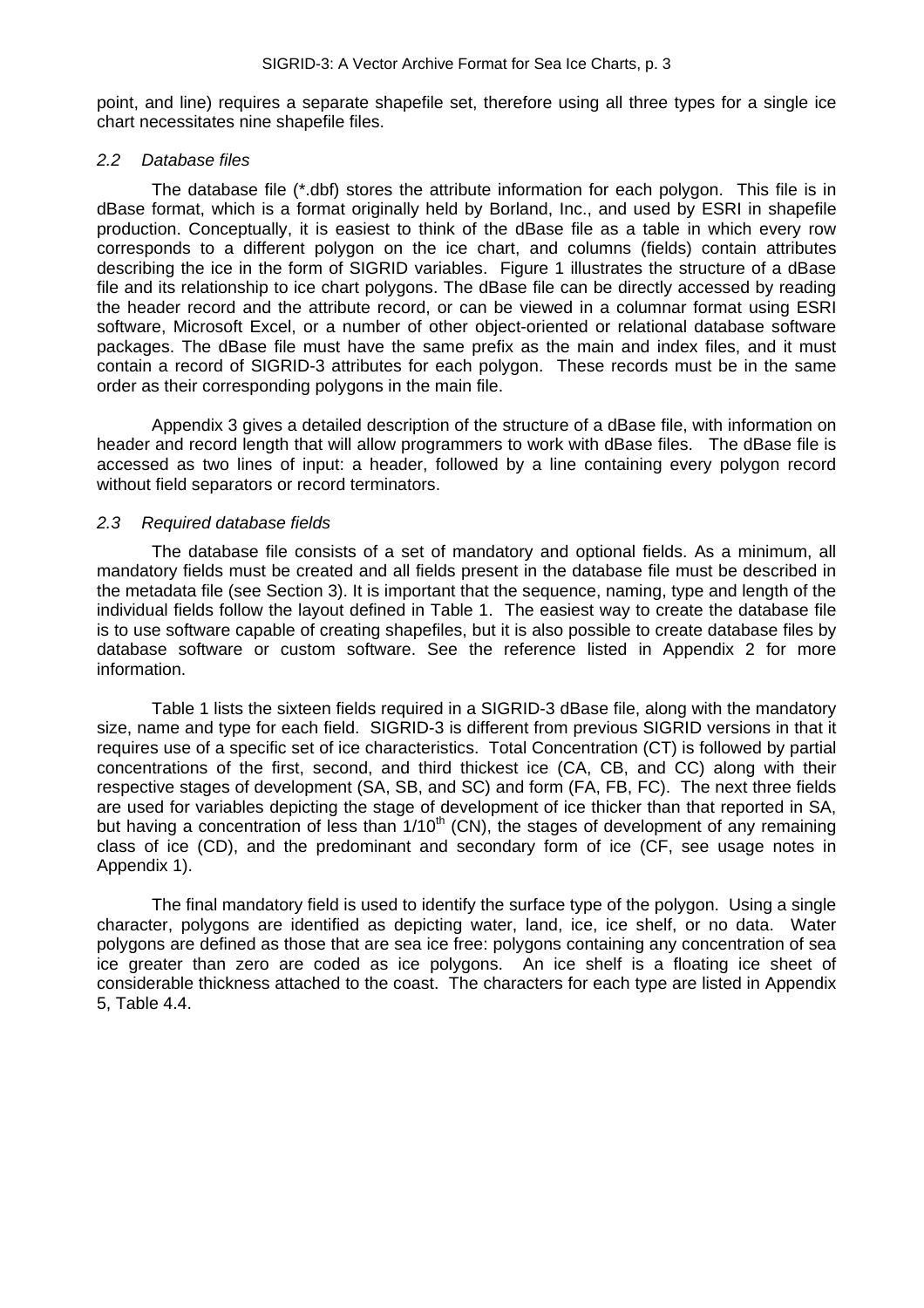point, and line) requires a separate shapefile set, therefore using all three types for a single ice chart necessitates nine shapefile files.

#### <span id="page-7-0"></span>*2.2 Database files*

The database file (\*.dbf) stores the attribute information for each polygon. This file is in dBase format, which is a format originally held by Borland, Inc., and used by ESRI in shapefile production. Conceptually, it is easiest to think of the dBase file as a table in which every row corresponds to a different polygon on the ice chart, and columns (fields) contain attributes describing the ice in the form of SIGRID variables. Figure 1 illustrates the structure of a dBase file and its relationship to ice chart polygons. The dBase file can be directly accessed by reading the header record and the attribute record, or can be viewed in a columnar format using ESRI software, Microsoft Excel, or a number of other object-oriented or relational database software packages. The dBase file must have the same prefix as the main and index files, and it must contain a record of SIGRID-3 attributes for each polygon. These records must be in the same order as their corresponding polygons in the main file.

Appendix 3 gives a detailed description of the structure of a dBase file, with information on header and record length that will allow programmers to work with dBase files. The dBase file is accessed as two lines of input: a header, followed by a line containing every polygon record without field separators or record terminators.

#### <span id="page-7-1"></span>*2.3 Required database fields*

The database file consists of a set of mandatory and optional fields. As a minimum, all mandatory fields must be created and all fields present in the database file must be described in the metadata file (see Section 3). It is important that the sequence, naming, type and length of the individual fields follow the layout defined in Table 1. The easiest way to create the database file is to use software capable of creating shapefiles, but it is also possible to create database files by database software or custom software. See the reference listed in Appendix 2 for more information.

Table 1 lists the sixteen fields required in a SIGRID-3 dBase file, along with the mandatory size, name and type for each field. SIGRID-3 is different from previous SIGRID versions in that it requires use of a specific set of ice characteristics. Total Concentration (CT) is followed by partial concentrations of the first, second, and third thickest ice (CA, CB, and CC) along with their respective stages of development (SA, SB, and SC) and form (FA, FB, FC). The next three fields are used for variables depicting the stage of development of ice thicker than that reported in SA, but having a concentration of less than  $1/10<sup>th</sup>$  (CN), the stages of development of any remaining class of ice (CD), and the predominant and secondary form of ice (CF, see usage notes in Appendix 1).

The final mandatory field is used to identify the surface type of the polygon. Using a single character, polygons are identified as depicting water, land, ice, ice shelf, or no data. Water polygons are defined as those that are sea ice free: polygons containing any concentration of sea ice greater than zero are coded as ice polygons. An ice shelf is a floating ice sheet of considerable thickness attached to the coast. The characters for each type are listed in Appendix 5, Table 4.4.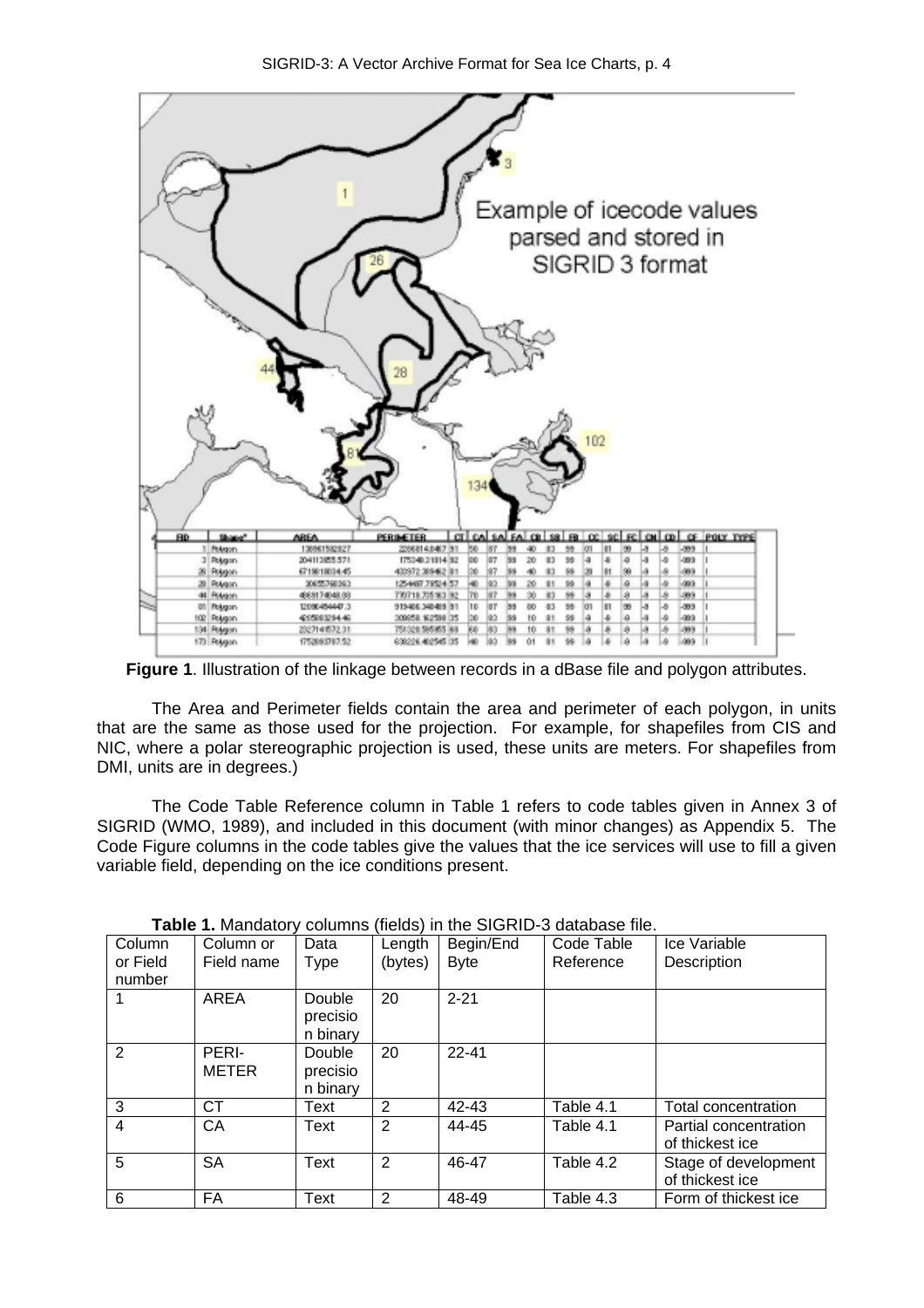

SIGRID-3: A Vector Archive Format for Sea Ice Charts, p. 4

**Figure 1**. Illustration of the linkage between records in a dBase file and polygon attributes.

The Area and Perimeter fields contain the area and perimeter of each polygon, in units that are the same as those used for the projection. For example, for shapefiles from CIS and NIC, where a polar stereographic projection is used, these units are meters. For shapefiles from DMI, units are in degrees.)

The Code Table Reference column in Table 1 refers to code tables given in Annex 3 of SIGRID (WMO, 1989), and included in this document (with minor changes) as Appendix 5. The Code Figure columns in the code tables give the values that the ice services will use to fill a given variable field, depending on the ice conditions present.

| Column<br>or Field<br>number | Column or<br>Field name | Data<br><b>Type</b>                   | Length<br>(bytes) | Begin/End<br><b>Byte</b> | Code Table<br>Reference | Ice Variable<br>Description              |
|------------------------------|-------------------------|---------------------------------------|-------------------|--------------------------|-------------------------|------------------------------------------|
|                              | <b>AREA</b>             | Double<br>precisio<br>n binary        | 20                | $2 - 21$                 |                         |                                          |
| 2                            | PERI-<br><b>METER</b>   | <b>Double</b><br>precisio<br>n binary | 20                | $22 - 41$                |                         |                                          |
| $\overline{3}$               | <b>CT</b>               | Text                                  | 2                 | 42-43                    | Table 4.1               | Total concentration                      |
| $\overline{4}$               | СA                      | Text                                  | 2                 | 44-45                    | Table 4.1               | Partial concentration<br>of thickest ice |
| 5                            | SА                      | Text                                  | 2                 | 46-47                    | Table 4.2               | Stage of development<br>of thickest ice  |
| 6                            | FA                      | Text                                  | 2                 | 48-49                    | Table 4.3               | Form of thickest ice                     |

**Table 1.** Mandatory columns (fields) in the SIGRID-3 database file.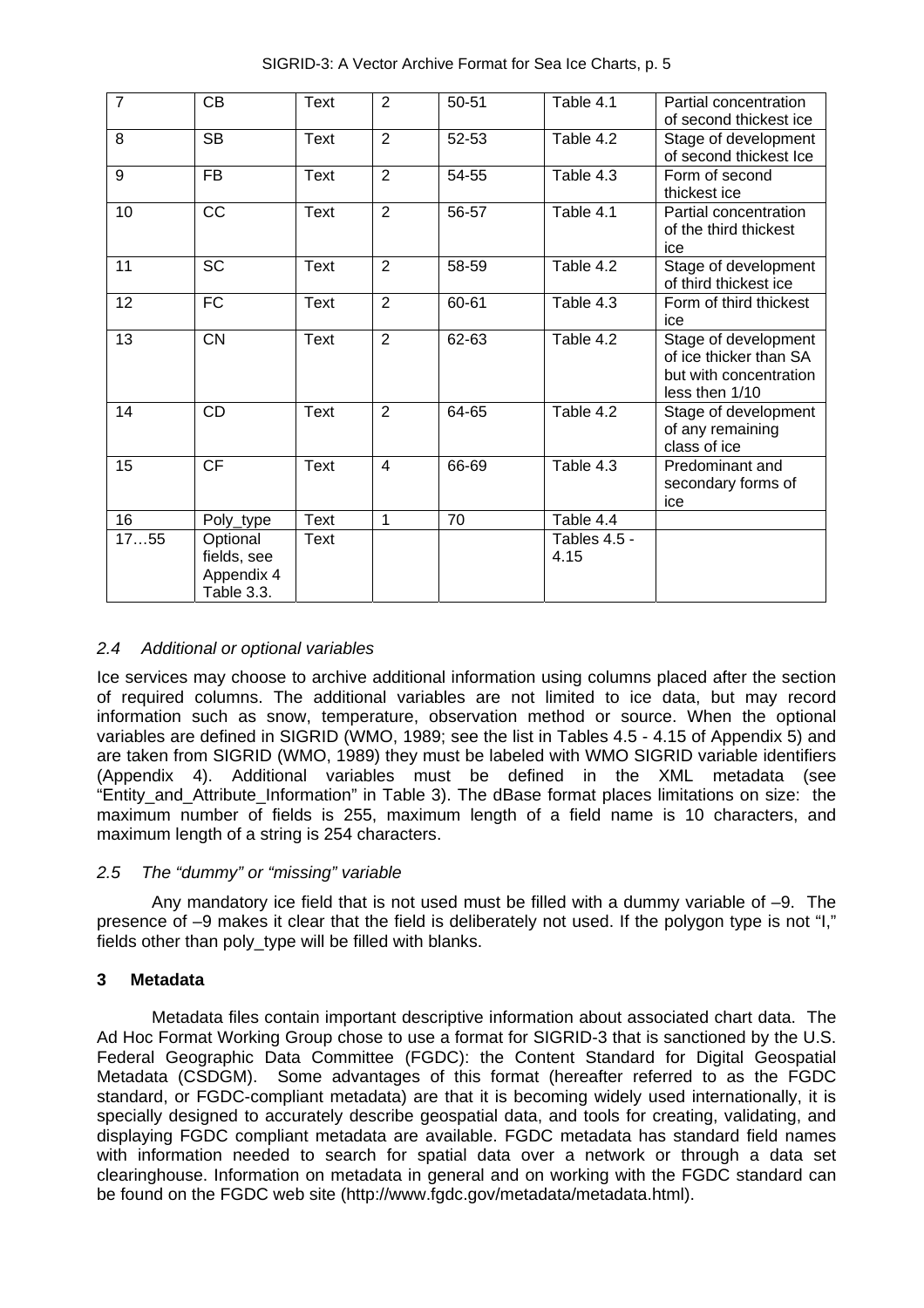| $\overline{7}$ | <b>CB</b>       | Text        | 2              | $50 - 51$ | Table 4.1    | Partial concentration  |
|----------------|-----------------|-------------|----------------|-----------|--------------|------------------------|
|                |                 |             |                |           |              | of second thickest ice |
| 8              | <b>SB</b>       | Text        | $\overline{2}$ | 52-53     | Table 4.2    | Stage of development   |
|                |                 |             |                |           |              | of second thickest Ice |
| 9              | <b>FB</b>       | <b>Text</b> | $\overline{2}$ | 54-55     | Table 4.3    | Form of second         |
|                |                 |             |                |           |              | thickest ice           |
| 10             | <b>CC</b>       | <b>Text</b> | $\overline{2}$ | 56-57     | Table 4.1    | Partial concentration  |
|                |                 |             |                |           |              | of the third thickest  |
|                |                 |             |                |           |              | ice                    |
| 11             | <b>SC</b>       | <b>Text</b> | $\overline{2}$ | 58-59     | Table 4.2    | Stage of development   |
|                |                 |             |                |           |              | of third thickest ice  |
| 12             | FC              | Text        | $\overline{2}$ | 60-61     | Table 4.3    | Form of third thickest |
|                |                 |             |                |           |              | ice                    |
| 13             | <b>CN</b>       | <b>Text</b> | $\overline{2}$ | 62-63     | Table 4.2    | Stage of development   |
|                |                 |             |                |           |              | of ice thicker than SA |
|                |                 |             |                |           |              | but with concentration |
|                |                 |             |                |           |              | less then 1/10         |
| 14             | <b>CD</b>       | Text        | 2              | 64-65     | Table 4.2    | Stage of development   |
|                |                 |             |                |           |              | of any remaining       |
|                |                 |             |                |           |              | class of ice           |
| 15             | $\overline{CF}$ | <b>Text</b> | 4              | 66-69     | Table 4.3    | Predominant and        |
|                |                 |             |                |           |              | secondary forms of     |
|                |                 |             |                |           |              | ice                    |
| 16             | Poly_type       | <b>Text</b> | $\mathbf{1}$   | 70        | Table 4.4    |                        |
| 1755           | Optional        | Text        |                |           | Tables 4.5 - |                        |
|                | fields, see     |             |                |           | 4.15         |                        |
|                | Appendix 4      |             |                |           |              |                        |
|                |                 |             |                |           |              |                        |
|                | Table 3.3.      |             |                |           |              |                        |

SIGRID-3: A Vector Archive Format for Sea Ice Charts, p. 5

# <span id="page-9-0"></span>*2.4 Additional or optional variables*

Ice services may choose to archive additional information using columns placed after the section of required columns. The additional variables are not limited to ice data, but may record information such as snow, temperature, observation method or source. When the optional variables are defined in SIGRID (WMO, 1989; see the list in Tables 4.5 - 4.15 of Appendix 5) and are taken from SIGRID (WMO, 1989) they must be labeled with WMO SIGRID variable identifiers (Appendix 4). Additional variables must be defined in the XML metadata (see "Entity\_and\_Attribute\_Information" in Table 3). The dBase format places limitations on size: the maximum number of fields is 255, maximum length of a field name is 10 characters, and maximum length of a string is 254 characters.

# <span id="page-9-1"></span>*2.5 The "dummy" or "missing" variable*

Any mandatory ice field that is not used must be filled with a dummy variable of –9. The presence of –9 makes it clear that the field is deliberately not used. If the polygon type is not "I," fields other than poly\_type will be filled with blanks.

# <span id="page-9-2"></span>**3 Metadata**

Metadata files contain important descriptive information about associated chart data. The Ad Hoc Format Working Group chose to use a format for SIGRID-3 that is sanctioned by the U.S. Federal Geographic Data Committee (FGDC): the Content Standard for Digital Geospatial Metadata (CSDGM). Some advantages of this format (hereafter referred to as the FGDC standard, or FGDC-compliant metadata) are that it is becoming widely used internationally, it is specially designed to accurately describe geospatial data, and tools for creating, validating, and displaying FGDC compliant metadata are available. FGDC metadata has standard field names with information needed to search for spatial data over a network or through a data set clearinghouse. Information on metadata in general and on working with the FGDC standard can be found on the FGDC web site [\(http://www.fgdc.gov/metadata/metadata.html\)](http://www.fgdc.gov/metadata/metadata.html).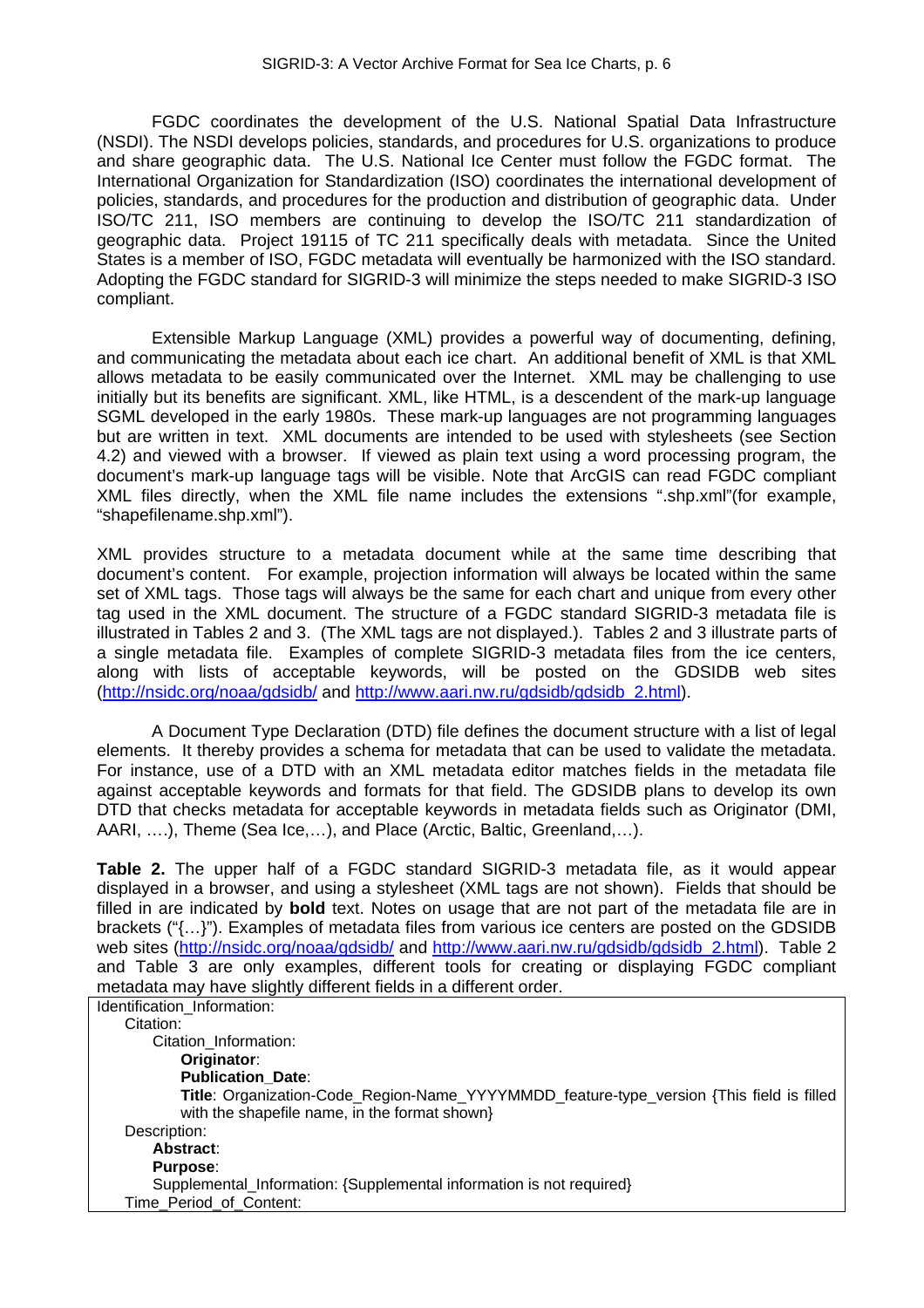FGDC coordinates the development of the U.S. National Spatial Data Infrastructure (NSDI). The NSDI develops policies, standards, and procedures for U.S. organizations to produce and share geographic data. The U.S. National Ice Center must follow the FGDC format. The International Organization for Standardization (ISO) coordinates the international development of policies, standards, and procedures for the production and distribution of geographic data. Under ISO/TC 211, ISO members are continuing to develop the ISO/TC 211 standardization of geographic data. Project 19115 of TC 211 specifically deals with metadata. Since the United States is a member of ISO, FGDC metadata will eventually be harmonized with the ISO standard. Adopting the FGDC standard for SIGRID-3 will minimize the steps needed to make SIGRID-3 ISO compliant.

Extensible Markup Language (XML) provides a powerful way of documenting, defining, and communicating the metadata about each ice chart. An additional benefit of XML is that XML allows metadata to be easily communicated over the Internet. XML may be challenging to use initially but its benefits are significant. XML, like HTML, is a descendent of the mark-up language SGML developed in the early 1980s. These mark-up languages are not programming languages but are written in text. XML documents are intended to be used with stylesheets (see Section 4.2) and viewed with a browser. If viewed as plain text using a word processing program, the document's mark-up language tags will be visible. Note that ArcGIS can read FGDC compliant XML files directly, when the XML file name includes the extensions ".shp.xml"(for example, "shapefilename.shp.xml").

XML provides structure to a metadata document while at the same time describing that document's content. For example, projection information will always be located within the same set of XML tags. Those tags will always be the same for each chart and unique from every other tag used in the XML document. The structure of a FGDC standard SIGRID-3 metadata file is illustrated in Tables 2 and 3. (The XML tags are not displayed.). Tables 2 and 3 illustrate parts of a single metadata file. Examples of complete SIGRID-3 metadata files from the ice centers, along with lists of acceptable keywords, will be posted on the GDSIDB web sites (<http://nsidc.org/noaa/gdsidb/>and [http://www.aari.nw.ru/gdsidb/gdsidb\\_2.html\)](http://www.aari.nw.ru/gdsidb/gdsidb_2.html).

A Document Type Declaration (DTD) file defines the document structure with a list of legal elements. It thereby provides a schema for metadata that can be used to validate the metadata. For instance, use of a DTD with an XML metadata editor matches fields in the metadata file against acceptable keywords and formats for that field. The GDSIDB plans to develop its own DTD that checks metadata for acceptable keywords in metadata fields such as Originator (DMI, AARI, ….), Theme (Sea Ice,…), and Place (Arctic, Baltic, Greenland,…).

**Table 2.** The upper half of a FGDC standard SIGRID-3 metadata file, as it would appear displayed in a browser, and using a stylesheet (XML tags are not shown). Fields that should be filled in are indicated by **bold** text. Notes on usage that are not part of the metadata file are in brackets ("{…}"). Examples of metadata files from various ice centers are posted on the GDSIDB web sites (<http://nsidc.org/noaa/gdsidb/>and http://www.aari.nw.ru/gdsidb/gdsidb 2.html). Table 2 and Table 3 are only examples, different tools for creating or displaying FGDC compliant metadata may have slightly different fields in a different order.

| Identification Information:                                                              |
|------------------------------------------------------------------------------------------|
| Citation:                                                                                |
| Citation Information:                                                                    |
| Originator:                                                                              |
| <b>Publication Date:</b>                                                                 |
| Title: Organization-Code_Region-Name_YYYYMMDD_feature-type_version {This field is filled |
| with the shapefile name, in the format shown}                                            |
| Description:                                                                             |
| Abstract:                                                                                |
| <b>Purpose:</b>                                                                          |
| Supplemental_Information: {Supplemental information is not required}                     |
| Time Period of Content:                                                                  |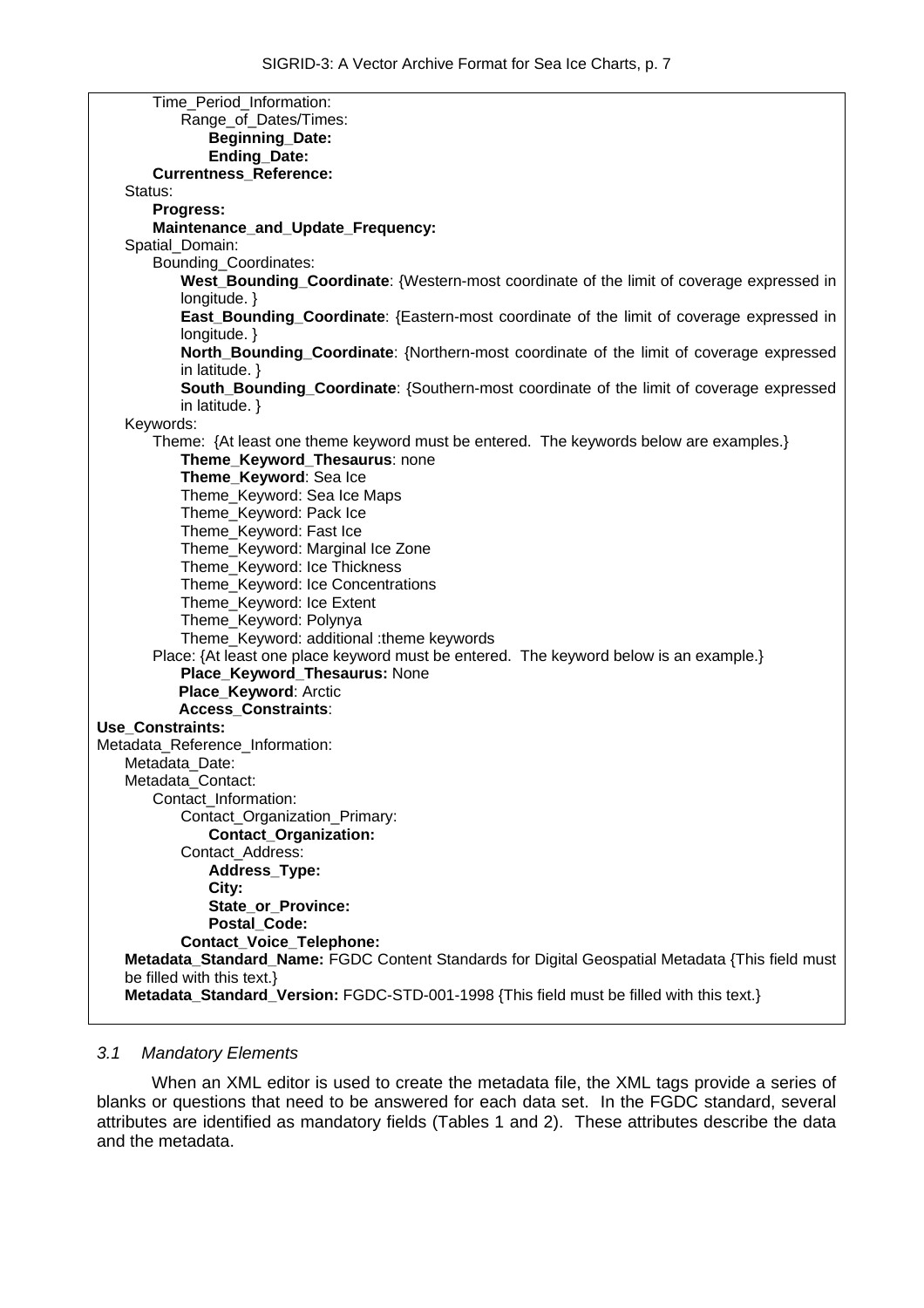| Time_Period_Information:                                                                        |
|-------------------------------------------------------------------------------------------------|
| Range_of_Dates/Times:                                                                           |
| <b>Beginning_Date:</b>                                                                          |
| Ending_Date:                                                                                    |
| <b>Currentness_Reference:</b>                                                                   |
| Status:                                                                                         |
| Progress:                                                                                       |
| Maintenance_and_Update_Frequency:                                                               |
| Spatial_Domain:                                                                                 |
| Bounding_Coordinates:                                                                           |
| West_Bounding_Coordinate: {Western-most coordinate of the limit of coverage expressed in        |
| longitude. $\}$                                                                                 |
| East_Bounding_Coordinate: {Eastern-most coordinate of the limit of coverage expressed in        |
| longitude. $\}$                                                                                 |
| North_Bounding_Coordinate: {Northern-most coordinate of the limit of coverage expressed         |
| in latitude. $\}$                                                                               |
| South_Bounding_Coordinate: {Southern-most coordinate of the limit of coverage expressed         |
| in latitude. $\}$                                                                               |
| Keywords:                                                                                       |
| Theme: {At least one theme keyword must be entered. The keywords below are examples.}           |
| Theme_Keyword_Thesaurus: none                                                                   |
| Theme_Keyword: Sea Ice                                                                          |
| Theme_Keyword: Sea Ice Maps                                                                     |
| Theme_Keyword: Pack Ice                                                                         |
| Theme_Keyword: Fast Ice                                                                         |
| Theme_Keyword: Marginal Ice Zone                                                                |
| Theme_Keyword: Ice Thickness                                                                    |
| Theme_Keyword: Ice Concentrations                                                               |
| Theme_Keyword: Ice Extent                                                                       |
| Theme_Keyword: Polynya                                                                          |
| Theme_Keyword: additional :theme keywords                                                       |
| Place: {At least one place keyword must be entered. The keyword below is an example.}           |
| Place_Keyword_Thesaurus: None                                                                   |
| Place_Keyword: Arctic                                                                           |
| <b>Access Constraints:</b>                                                                      |
| Use_Constraints:                                                                                |
| Metadata_Reference_Information:                                                                 |
| Metadata Date:                                                                                  |
| Metadata_Contact:                                                                               |
| Contact_Information:                                                                            |
| Contact_Organization_Primary:                                                                   |
| <b>Contact_Organization:</b>                                                                    |
| Contact_Address:                                                                                |
| Address_Type:                                                                                   |
| City:                                                                                           |
| State_or_Province:                                                                              |
| <b>Postal Code:</b>                                                                             |
| <b>Contact_Voice_Telephone:</b>                                                                 |
| Metadata_Standard_Name: FGDC Content Standards for Digital Geospatial Metadata {This field must |
| be filled with this text.}                                                                      |
| Metadata_Standard_Version: FGDC-STD-001-1998 {This field must be filled with this text.}        |
|                                                                                                 |

# <span id="page-11-0"></span>*3.1 Mandatory Elements*

When an XML editor is used to create the metadata file, the XML tags provide a series of blanks or questions that need to be answered for each data set. In the FGDC standard, several attributes are identified as mandatory fields (Tables 1 and 2). These attributes describe the data and the metadata.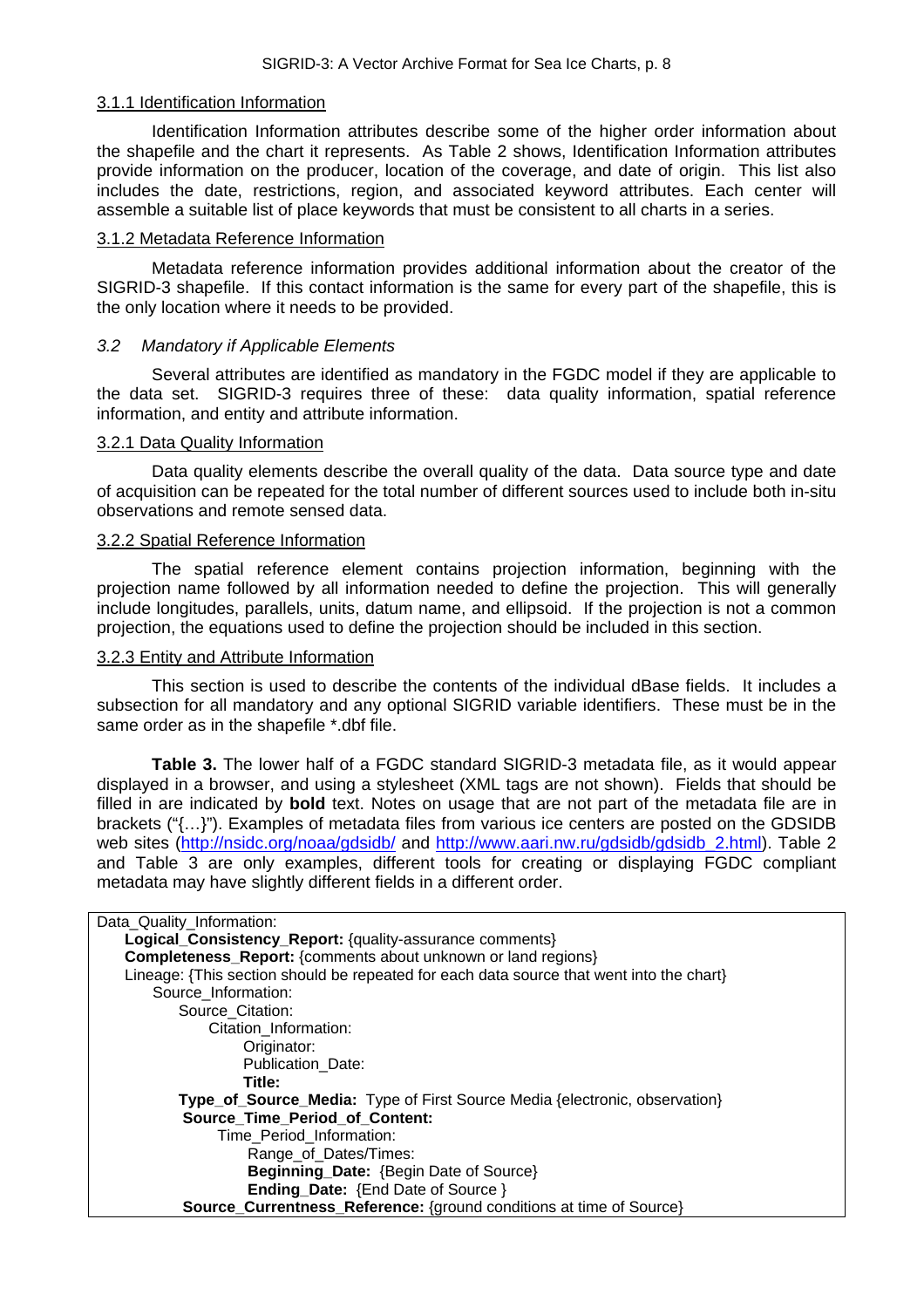## <span id="page-12-0"></span>3.1.1 Identification Information

Identification Information attributes describe some of the higher order information about the shapefile and the chart it represents. As Table 2 shows, Identification Information attributes provide information on the producer, location of the coverage, and date of origin. This list also includes the date, restrictions, region, and associated keyword attributes. Each center will assemble a suitable list of place keywords that must be consistent to all charts in a series.

#### <span id="page-12-1"></span>3.1.2 Metadata Reference Information

Metadata reference information provides additional information about the creator of the SIGRID-3 shapefile. If this contact information is the same for every part of the shapefile, this is the only location where it needs to be provided.

## <span id="page-12-2"></span>*3.2 Mandatory if Applicable Elements*

Several attributes are identified as mandatory in the FGDC model if they are applicable to the data set. SIGRID-3 requires three of these: data quality information, spatial reference information, and entity and attribute information.

## <span id="page-12-3"></span>3.2.1 Data Quality Information

Data quality elements describe the overall quality of the data. Data source type and date of acquisition can be repeated for the total number of different sources used to include both in-situ observations and remote sensed data.

## <span id="page-12-4"></span>3.2.2 Spatial Reference Information

The spatial reference element contains projection information, beginning with the projection name followed by all information needed to define the projection. This will generally include longitudes, parallels, units, datum name, and ellipsoid. If the projection is not a common projection, the equations used to define the projection should be included in this section.

#### <span id="page-12-5"></span>3.2.3 Entity and Attribute Information

This section is used to describe the contents of the individual dBase fields. It includes a subsection for all mandatory and any optional SIGRID variable identifiers. These must be in the same order as in the shapefile \*.dbf file.

**Table 3.** The lower half of a FGDC standard SIGRID-3 metadata file, as it would appear displayed in a browser, and using a stylesheet (XML tags are not shown). Fields that should be filled in are indicated by **bold** text. Notes on usage that are not part of the metadata file are in brackets ("{…}"). Examples of metadata files from various ice centers are posted on the GDSIDB web sites (<http://nsidc.org/noaa/gdsidb/>and http://www.aari.nw.ru/gdsidb/gdsidb 2.html). Table 2 and Table 3 are only examples, different tools for creating or displaying FGDC compliant metadata may have slightly different fields in a different order.

| Data_Quality_Information:                                                                |
|------------------------------------------------------------------------------------------|
| Logical_Consistency_Report: {quality-assurance comments}                                 |
| <b>Completeness_Report:</b> {comments about unknown or land regions}                     |
| Lineage: {This section should be repeated for each data source that went into the chart} |
| Source Information:                                                                      |
| Source Citation:                                                                         |
| Citation Information:                                                                    |
| Originator:                                                                              |
| <b>Publication Date:</b>                                                                 |
| Title:                                                                                   |
| Type_of_Source_Media: Type of First Source Media {electronic, observation}               |
| <b>Source Time Period of Content:</b>                                                    |
| Time_Period_Information:                                                                 |
| Range_of_Dates/Times:                                                                    |
| Beginning_Date: {Begin Date of Source}                                                   |
| <b>Ending_Date: {End Date of Source}</b>                                                 |
| <b>Source_Currentness_Reference:</b> {ground conditions at time of Source}               |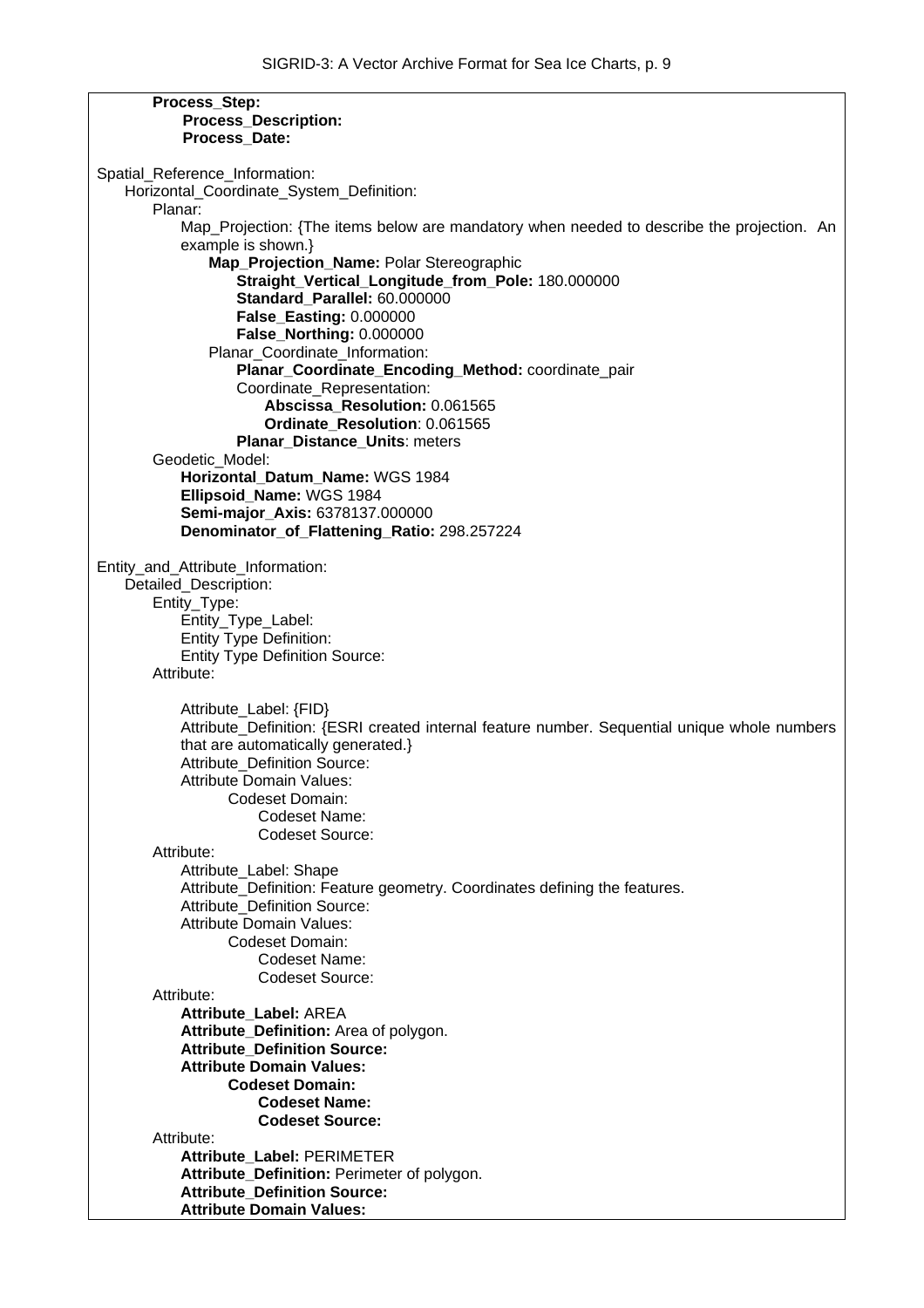| Process_Step:                                                                                |
|----------------------------------------------------------------------------------------------|
| <b>Process Description:</b>                                                                  |
| Process Date:                                                                                |
|                                                                                              |
| Spatial_Reference_Information:                                                               |
| Horizontal_Coordinate_System_Definition:                                                     |
| Planar:                                                                                      |
|                                                                                              |
| Map_Projection: {The items below are mandatory when needed to describe the projection. An    |
| example is shown.}                                                                           |
| Map_Projection_Name: Polar Stereographic                                                     |
| Straight_Vertical_Longitude_from_Pole: 180.000000                                            |
| Standard Parallel: 60.000000                                                                 |
| <b>False_Easting: 0.000000</b>                                                               |
| False_Northing: 0.000000                                                                     |
| Planar_Coordinate_Information:                                                               |
|                                                                                              |
| Planar_Coordinate_Encoding_Method: coordinate_pair                                           |
| Coordinate_Representation:                                                                   |
| Abscissa Resolution: 0.061565                                                                |
| Ordinate Resolution: 0.061565                                                                |
| Planar_Distance_Units: meters                                                                |
| Geodetic_Model:                                                                              |
| Horizontal Datum Name: WGS 1984                                                              |
| Ellipsoid_Name: WGS 1984                                                                     |
| Semi-major Axis: 6378137.000000                                                              |
|                                                                                              |
| Denominator_of_Flattening_Ratio: 298.257224                                                  |
|                                                                                              |
| Entity_and_Attribute_Information:                                                            |
| Detailed_Description:                                                                        |
| Entity_Type:                                                                                 |
| Entity_Type_Label:                                                                           |
| <b>Entity Type Definition:</b>                                                               |
| <b>Entity Type Definition Source:</b>                                                        |
|                                                                                              |
| Attribute:                                                                                   |
|                                                                                              |
| Attribute_Label: {FID}                                                                       |
| Attribute_Definition: {ESRI created internal feature number. Sequential unique whole numbers |
| that are automatically generated.}                                                           |
| Attribute_Definition Source:                                                                 |
| <b>Attribute Domain Values:</b>                                                              |
| Codeset Domain:                                                                              |
| Codeset Name:                                                                                |
|                                                                                              |
| <b>Codeset Source:</b>                                                                       |
| Attribute:                                                                                   |
| Attribute_Label: Shape                                                                       |
| Attribute_Definition: Feature geometry. Coordinates defining the features.                   |
| <b>Attribute Definition Source:</b>                                                          |
| <b>Attribute Domain Values:</b>                                                              |
| Codeset Domain:                                                                              |
| Codeset Name:                                                                                |
|                                                                                              |
| <b>Codeset Source:</b>                                                                       |
| Attribute:                                                                                   |
| Attribute_Label: AREA                                                                        |
| Attribute_Definition: Area of polygon.                                                       |
| <b>Attribute Definition Source:</b>                                                          |
| <b>Attribute Domain Values:</b>                                                              |
| <b>Codeset Domain:</b>                                                                       |
| <b>Codeset Name:</b>                                                                         |
| <b>Codeset Source:</b>                                                                       |
|                                                                                              |
| Attribute:                                                                                   |
| Attribute_Label: PERIMETER                                                                   |
| Attribute_Definition: Perimeter of polygon.                                                  |
| <b>Attribute Definition Source:</b>                                                          |
| <b>Attribute Domain Values:</b>                                                              |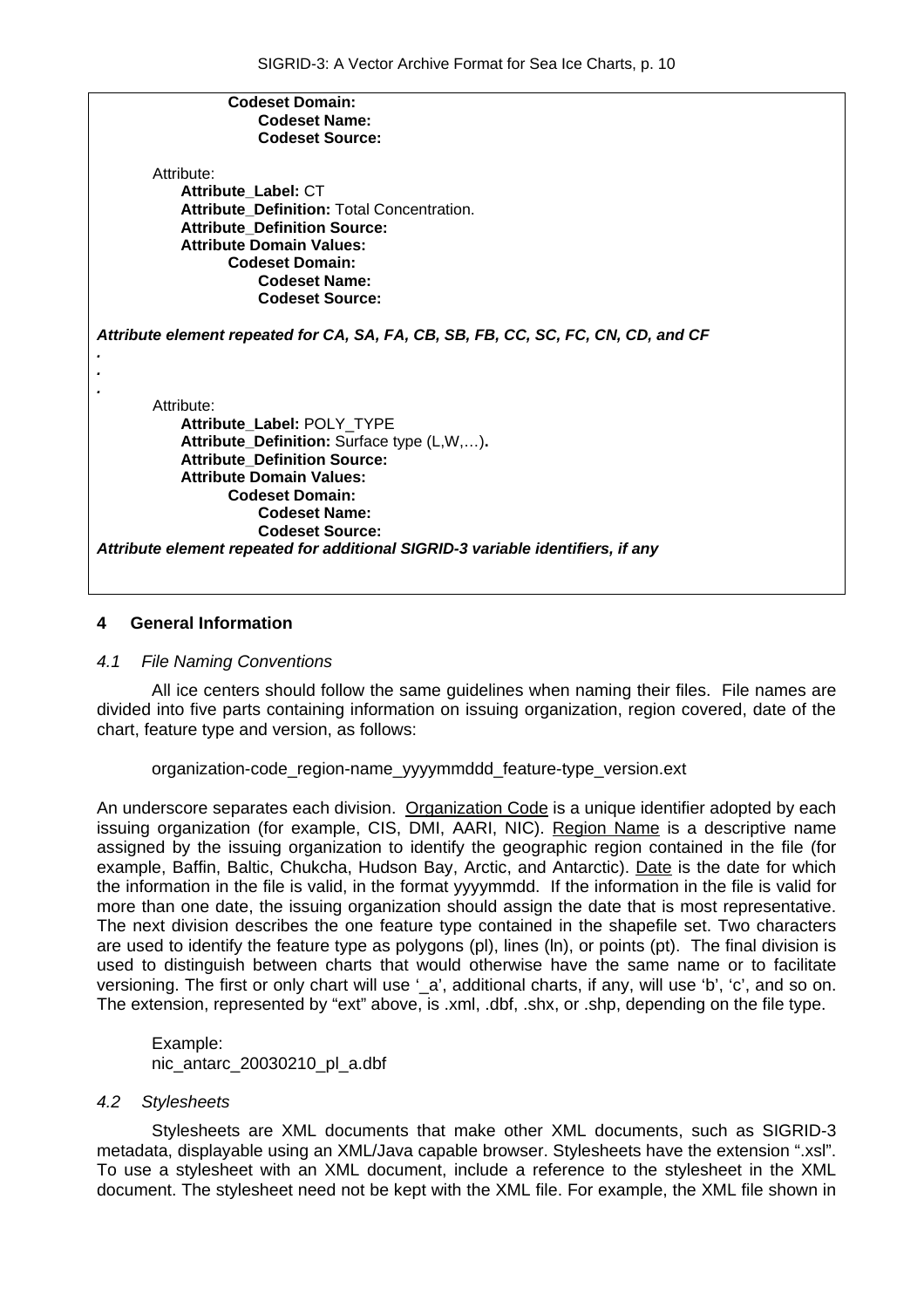| <b>Codeset Domain:</b>                                                            |
|-----------------------------------------------------------------------------------|
| <b>Codeset Name:</b>                                                              |
| <b>Codeset Source:</b>                                                            |
|                                                                                   |
| Attribute:                                                                        |
| Attribute_Label: CT                                                               |
| Attribute Definition: Total Concentration.                                        |
| <b>Attribute Definition Source:</b>                                               |
| <b>Attribute Domain Values:</b>                                                   |
| <b>Codeset Domain:</b>                                                            |
| <b>Codeset Name:</b>                                                              |
| <b>Codeset Source:</b>                                                            |
| Attribute element repeated for CA, SA, FA, CB, SB, FB, CC, SC, FC, CN, CD, and CF |
| Attribute:                                                                        |
| Attribute_Label: POLY_TYPE                                                        |
| Attribute_Definition: Surface type (L,W,).                                        |
| <b>Attribute Definition Source:</b>                                               |
| <b>Attribute Domain Values:</b>                                                   |
| <b>Codeset Domain:</b>                                                            |
| <b>Codeset Name:</b>                                                              |
| <b>Codeset Source:</b>                                                            |
| Attribute element repeated for additional SIGRID-3 variable identifiers, if any   |
|                                                                                   |
|                                                                                   |

#### <span id="page-14-0"></span>**4 General Information**

#### <span id="page-14-1"></span>*4.1 File Naming Conventions*

All ice centers should follow the same guidelines when naming their files. File names are divided into five parts containing information on issuing organization, region covered, date of the chart, feature type and version, as follows:

#### organization-code\_region-name\_yyyymmddd\_feature-type\_version.ext

An underscore separates each division. Organization Code is a unique identifier adopted by each issuing organization (for example, CIS, DMI, AARI, NIC). Region Name is a descriptive name assigned by the issuing organization to identify the geographic region contained in the file (for example, Baffin, Baltic, Chukcha, Hudson Bay, Arctic, and Antarctic). Date is the date for which the information in the file is valid, in the format yyyymmdd. If the information in the file is valid for more than one date, the issuing organization should assign the date that is most representative. The next division describes the one feature type contained in the shapefile set. Two characters are used to identify the feature type as polygons (pl), lines (ln), or points (pt). The final division is used to distinguish between charts that would otherwise have the same name or to facilitate versioning. The first or only chart will use '\_a', additional charts, if any, will use 'b', 'c', and so on. The extension, represented by "ext" above, is .xml, .dbf, .shx, or .shp, depending on the file type.

Example: nic\_antarc\_20030210\_pl\_a.dbf

#### <span id="page-14-2"></span>*4.2 Stylesheets*

Stylesheets are XML documents that make other XML documents, such as SIGRID-3 metadata, displayable using an XML/Java capable browser. Stylesheets have the extension ".xsl". To use a stylesheet with an XML document, include a reference to the stylesheet in the XML document. The stylesheet need not be kept with the XML file. For example, the XML file shown in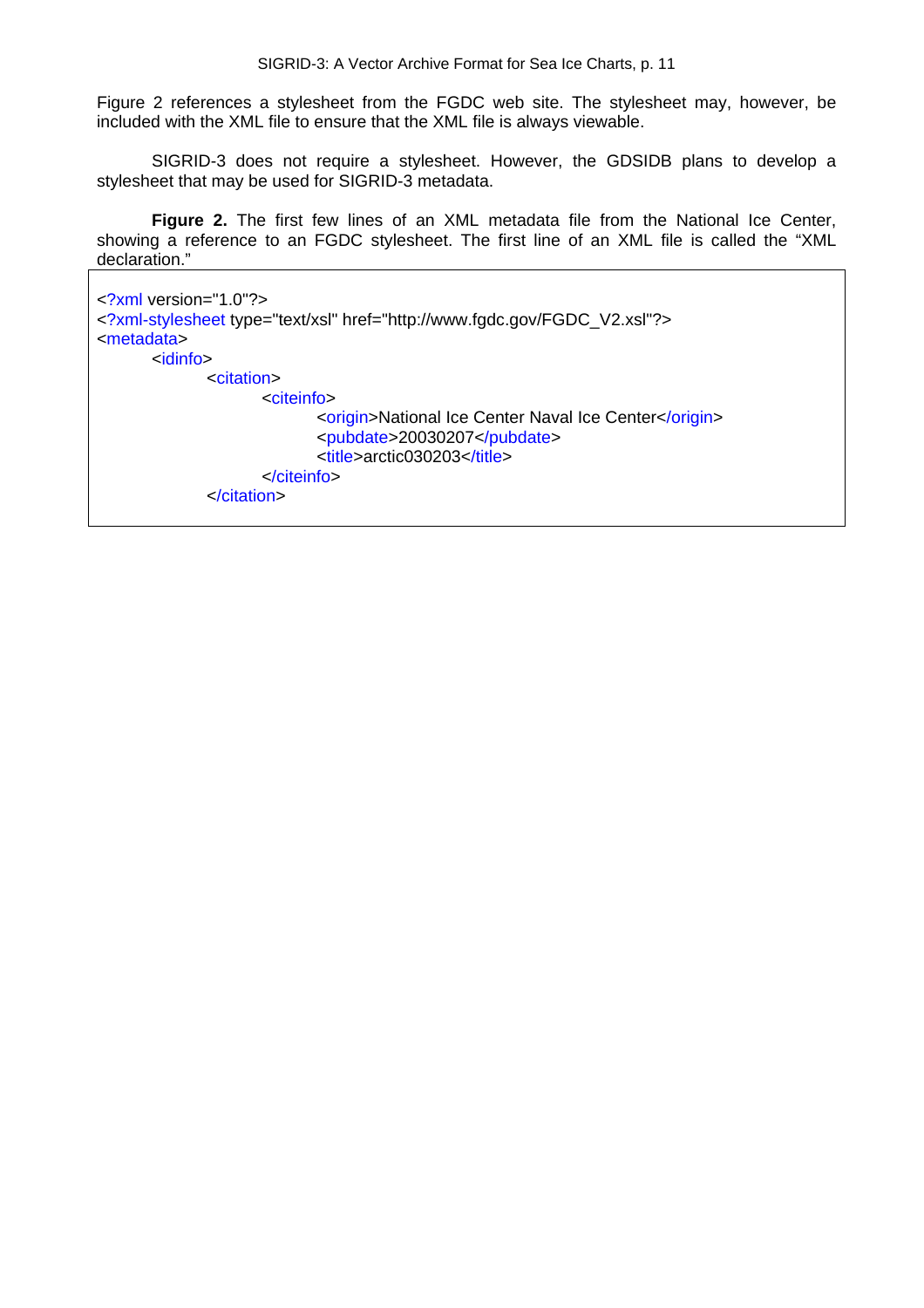Figure 2 references a stylesheet from the FGDC web site. The stylesheet may, however, be included with the XML file to ensure that the XML file is always viewable.

SIGRID-3 does not require a stylesheet. However, the GDSIDB plans to develop a stylesheet that may be used for SIGRID-3 metadata.

**Figure 2.** The first few lines of an XML metadata file from the National Ice Center, showing a reference to an FGDC stylesheet. The first line of an XML file is called the "XML declaration."

```
<?xml version="1.0"?> 
<?xml-stylesheet type="text/xsl" href="http://www.fgdc.gov/FGDC_V2.xsl"?> 
<metadata> 
        <idinfo> 
                <citation> 
                       <citeinfo> 
                              <origin>National Ice Center Naval Ice Center</origin>
                               <pubdate>20030207</pubdate> 
                              <title>arctic030203</title>
                       </citeinfo> 
                </citation>
```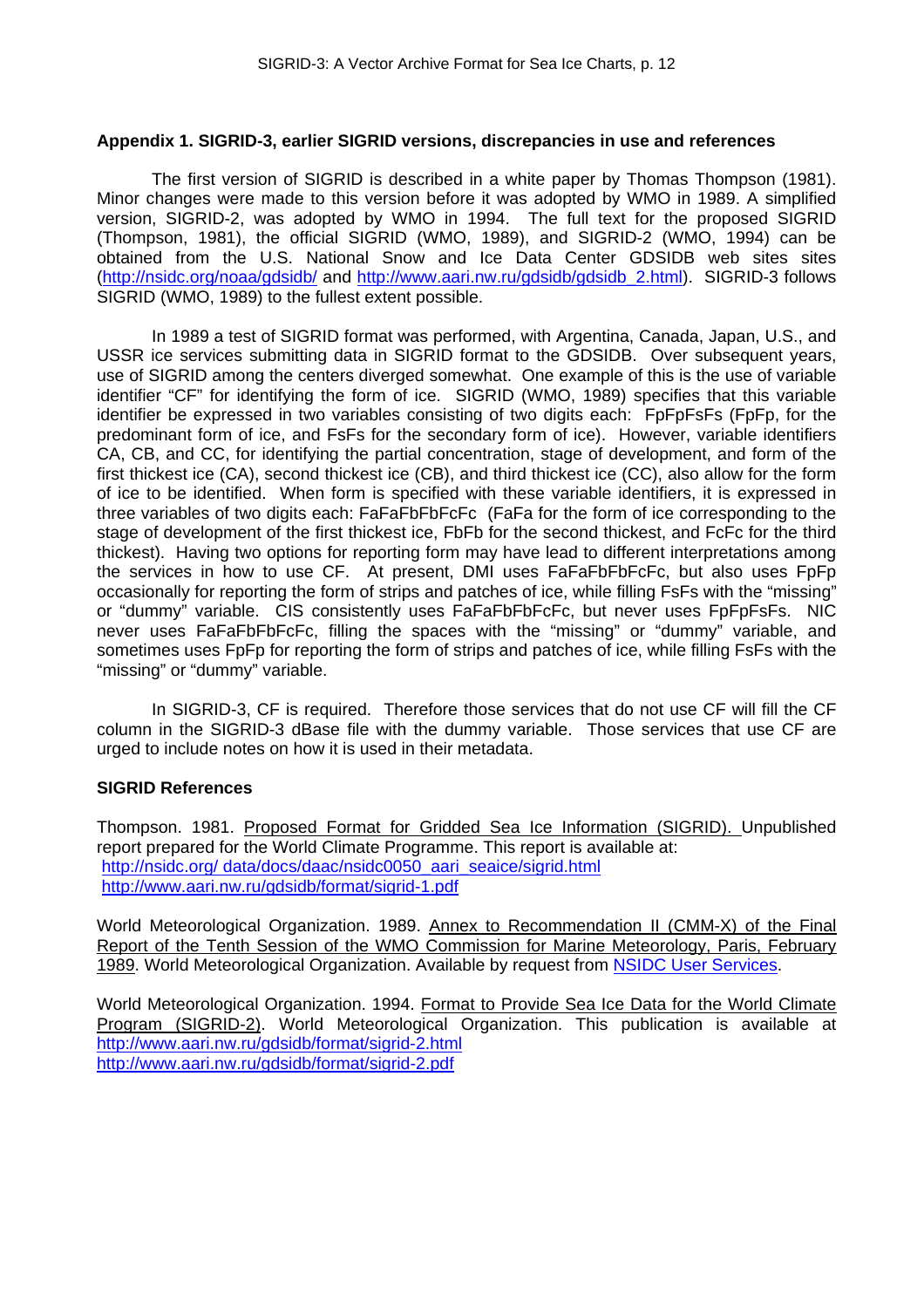#### <span id="page-16-0"></span>**Appendix 1. SIGRID-3, earlier SIGRID versions, discrepancies in use and references**

The first version of SIGRID is described in a white paper by Thomas Thompson (1981). Minor changes were made to this version before it was adopted by WMO in 1989. A simplified version, SIGRID-2, was adopted by WMO in 1994. The full text for the proposed SIGRID (Thompson, 1981), the official SIGRID (WMO, 1989), and SIGRID-2 (WMO, 1994) can be obtained from the U.S. National Snow and Ice Data Center GDSIDB web sites sites (<http://nsidc.org/noaa/gdsidb/>and [http://www.aari.nw.ru/gdsidb/gdsidb\\_2.html\)](http://www.aari.nw.ru/gdsidb/gdsidb_2.html). SIGRID-3 follows SIGRID (WMO, 1989) to the fullest extent possible.

In 1989 a test of SIGRID format was performed, with Argentina, Canada, Japan, U.S., and USSR ice services submitting data in SIGRID format to the GDSIDB. Over subsequent years, use of SIGRID among the centers diverged somewhat. One example of this is the use of variable identifier "CF" for identifying the form of ice. SIGRID (WMO, 1989) specifies that this variable identifier be expressed in two variables consisting of two digits each: FpFpFsFs (FpFp, for the predominant form of ice, and FsFs for the secondary form of ice). However, variable identifiers CA, CB, and CC, for identifying the partial concentration, stage of development, and form of the first thickest ice (CA), second thickest ice (CB), and third thickest ice (CC), also allow for the form of ice to be identified. When form is specified with these variable identifiers, it is expressed in three variables of two digits each: FaFaFbFbFcFc (FaFa for the form of ice corresponding to the stage of development of the first thickest ice, FbFb for the second thickest, and FcFc for the third thickest). Having two options for reporting form may have lead to different interpretations among the services in how to use CF. At present, DMI uses FaFaFbFbFcFc, but also uses FpFp occasionally for reporting the form of strips and patches of ice, while filling FsFs with the "missing" or "dummy" variable. CIS consistently uses FaFaFbFbFcFc, but never uses FpFpFsFs. NIC never uses FaFaFbFbFcFc, filling the spaces with the "missing" or "dummy" variable, and sometimes uses FpFp for reporting the form of strips and patches of ice, while filling FsFs with the "missing" or "dummy" variable.

In SIGRID-3, CF is required. Therefore those services that do not use CF will fill the CF column in the SIGRID-3 dBase file with the dummy variable. Those services that use CF are urged to include notes on how it is used in their metadata.

#### **SIGRID References**

Thompson. 1981. Proposed Format for Gridded Sea Ice Information (SIGRID). Unpublished report prepared for the World Climate Programme. This report is available at: http://nsidc.org/ data/docs/daac/nsidc0050\_aari\_seaice/sigrid.html <http://www.aari.nw.ru/gdsidb/format/sigrid-1.pdf>

World Meteorological Organization. 1989. Annex to Recommendation II (CMM-X) of the Final Report of the Tenth Session of the WMO Commission for Marine Meteorology, Paris, February 1989. World Meteorological Organization. Available by request from [NSIDC User Services.](http://arcss.colorado.edu/forms/contact.html)

World Meteorological Organization. 1994. Format to Provide Sea Ice Data for the World Climate Program (SIGRID-2). World Meteorological Organization. This publication is available at <http://www.aari.nw.ru/gdsidb/format/sigrid-2.html> <http://www.aari.nw.ru/gdsidb/format/sigrid-2.pdf>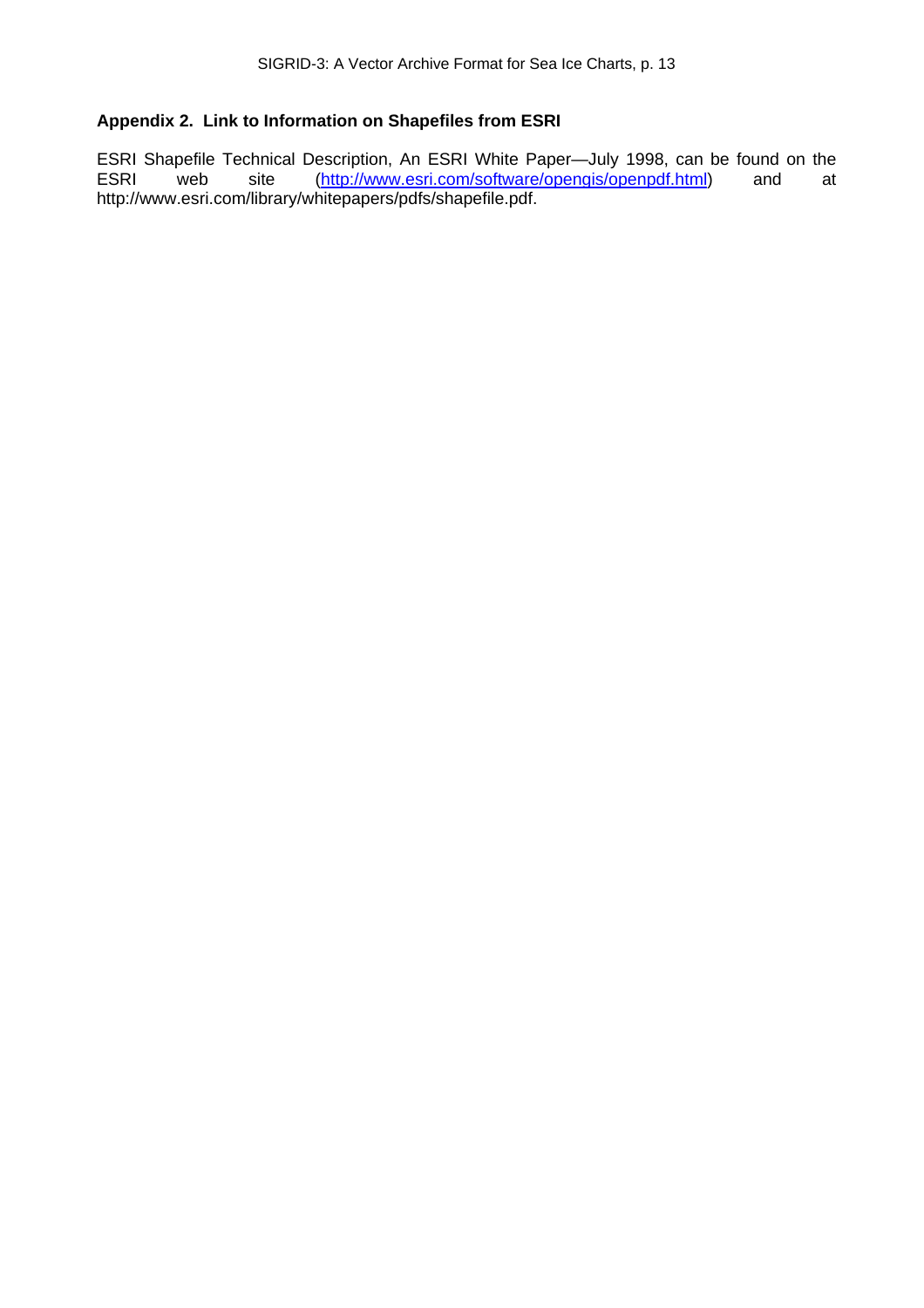# <span id="page-17-0"></span>**Appendix 2. Link to Information on Shapefiles from ESRI**

ESRI Shapefile Technical Description, An ESRI White Paper—July 1998, can be found on the ESRI web site ([http://www.esri.com/software/opengis/openpdf.html\)](http://www.esri.com/software/opengis/openpdf.html) and at [http://www.esri.com/library/whitepapers/pdfs/shapefile.pdf.](http://www.esri.com/library/whitepapers/pdfs/shapefile.pdf)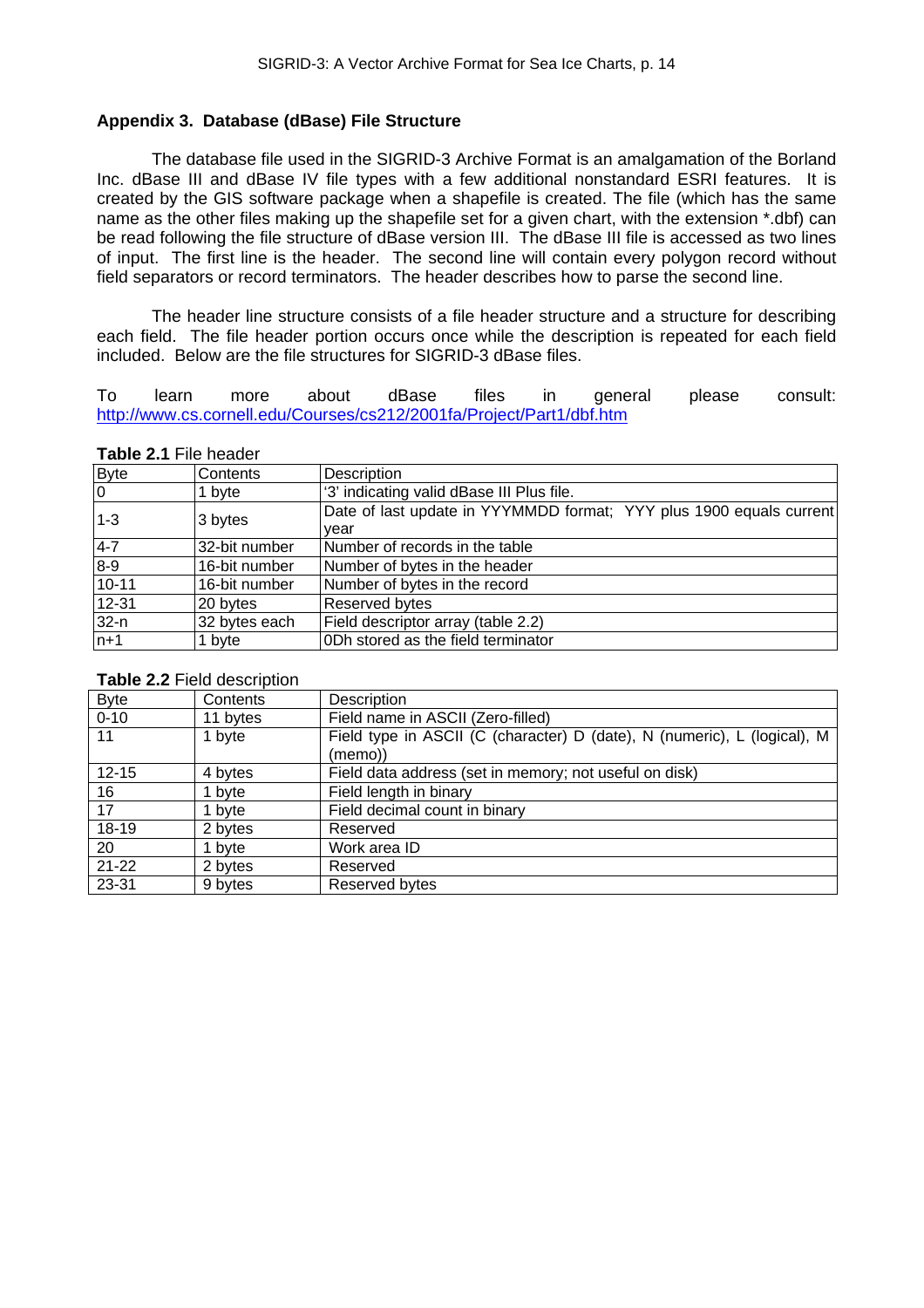## <span id="page-18-0"></span>**Appendix 3. Database (dBase) File Structure**

The database file used in the SIGRID-3 Archive Format is an amalgamation of the Borland Inc. dBase III and dBase IV file types with a few additional nonstandard ESRI features. It is created by the GIS software package when a shapefile is created. The file (which has the same name as the other files making up the shapefile set for a given chart, with the extension \*.dbf) can be read following the file structure of dBase version III. The dBase III file is accessed as two lines of input. The first line is the header. The second line will contain every polygon record without field separators or record terminators. The header describes how to parse the second line.

The header line structure consists of a file header structure and a structure for describing each field. The file header portion occurs once while the description is repeated for each field included. Below are the file structures for SIGRID-3 dBase files.

To learn more about dBase files in general please consult: <http://www.cs.cornell.edu/Courses/cs212/2001fa/Project/Part1/dbf.htm>

#### **Table 2.1** File header

| <b>Byte</b>    | Contents      | Description                                                                 |
|----------------|---------------|-----------------------------------------------------------------------------|
| $\overline{0}$ | 1 byte        | '3' indicating valid dBase III Plus file.                                   |
| $1 - 3$        | 3 bytes       | Date of last update in YYYMMDD format; YYY plus 1900 equals current<br>vear |
| $4 - 7$        | 32-bit number | Number of records in the table                                              |
| $8-9$          | 16-bit number | Number of bytes in the header                                               |
| $10 - 11$      | 16-bit number | Number of bytes in the record                                               |
| $12 - 31$      | 20 bytes      | Reserved bytes                                                              |
| $32-n$         | 32 bytes each | Field descriptor array (table 2.2)                                          |
| $n+1$          | 1 byte        | ODh stored as the field terminator                                          |

#### **Table 2.2** Field description

| <b>Byte</b> | Contents | Description                                                                         |
|-------------|----------|-------------------------------------------------------------------------------------|
| $0 - 10$    | 11 bytes | Field name in ASCII (Zero-filled)                                                   |
| 11          | 1 byte   | Field type in ASCII (C (character) D (date), N (numeric), L (logical), M<br>(memo)) |
| $12 - 15$   | 4 bytes  | Field data address (set in memory; not useful on disk)                              |
| 16          | 1 byte   | Field length in binary                                                              |
| 17          | 1 byte   | Field decimal count in binary                                                       |
| 18-19       | 2 bytes  | Reserved                                                                            |
| 20          | 1 byte   | Work area ID                                                                        |
| $21 - 22$   | 2 bytes  | Reserved                                                                            |
| 23-31       | 9 bytes  | Reserved bytes                                                                      |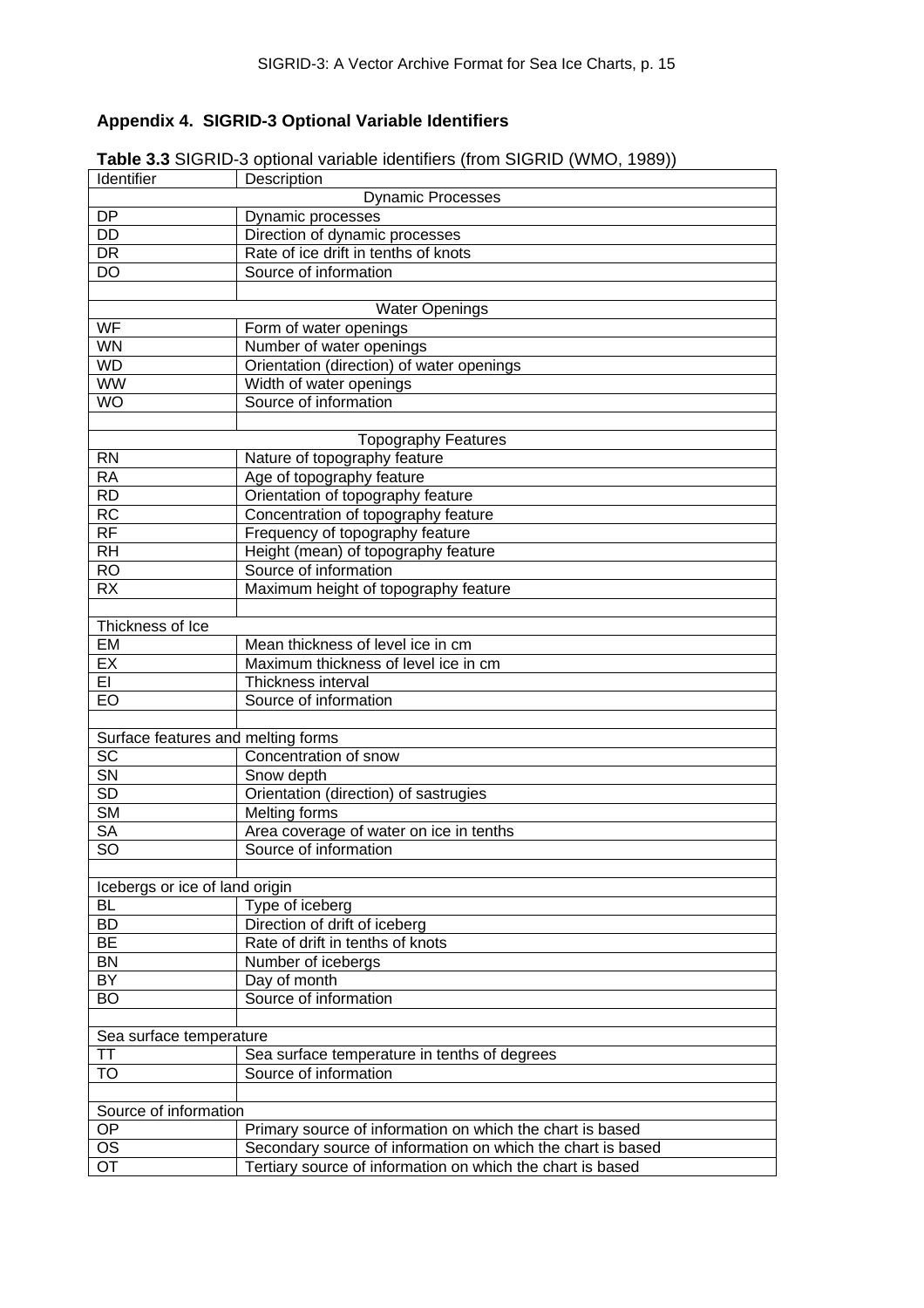# <span id="page-19-0"></span>**Appendix 4. SIGRID-3 Optional Variable Identifiers**

| Identifier                         | $\sigma$ optional vanable factituitors (if only of order (if $\sigma$ ), if $\sigma$<br>Description |  |  |  |  |
|------------------------------------|-----------------------------------------------------------------------------------------------------|--|--|--|--|
|                                    | Dynamic Processes                                                                                   |  |  |  |  |
| <b>DP</b>                          | Dynamic processes                                                                                   |  |  |  |  |
| $\overline{DD}$                    | Direction of dynamic processes                                                                      |  |  |  |  |
| <b>DR</b>                          | Rate of ice drift in tenths of knots                                                                |  |  |  |  |
| DO                                 | Source of information                                                                               |  |  |  |  |
|                                    |                                                                                                     |  |  |  |  |
|                                    | <b>Water Openings</b>                                                                               |  |  |  |  |
| WF                                 | Form of water openings                                                                              |  |  |  |  |
| WN                                 | Number of water openings                                                                            |  |  |  |  |
| <b>WD</b>                          |                                                                                                     |  |  |  |  |
| <b>WW</b>                          | Orientation (direction) of water openings                                                           |  |  |  |  |
|                                    | Width of water openings                                                                             |  |  |  |  |
| <b>WO</b>                          | Source of information                                                                               |  |  |  |  |
|                                    |                                                                                                     |  |  |  |  |
|                                    | <b>Topography Features</b>                                                                          |  |  |  |  |
| <b>RN</b>                          | Nature of topography feature                                                                        |  |  |  |  |
| <b>RA</b>                          | Age of topography feature                                                                           |  |  |  |  |
| <b>RD</b>                          | Orientation of topography feature                                                                   |  |  |  |  |
| <b>RC</b>                          | Concentration of topography feature                                                                 |  |  |  |  |
| <b>RF</b>                          | Frequency of topography feature                                                                     |  |  |  |  |
| <b>RH</b>                          | Height (mean) of topography feature                                                                 |  |  |  |  |
| <b>RO</b>                          | Source of information                                                                               |  |  |  |  |
| <b>RX</b>                          | Maximum height of topography feature                                                                |  |  |  |  |
|                                    |                                                                                                     |  |  |  |  |
| Thickness of Ice                   |                                                                                                     |  |  |  |  |
| EM                                 | Mean thickness of level ice in cm                                                                   |  |  |  |  |
| EX                                 | Maximum thickness of level ice in cm                                                                |  |  |  |  |
| EI                                 | Thickness interval                                                                                  |  |  |  |  |
| EO                                 | Source of information                                                                               |  |  |  |  |
|                                    |                                                                                                     |  |  |  |  |
| Surface features and melting forms |                                                                                                     |  |  |  |  |
| <b>SC</b>                          | Concentration of snow                                                                               |  |  |  |  |
| SN                                 | Snow depth                                                                                          |  |  |  |  |
| <b>SD</b>                          | Orientation (direction) of sastrugies                                                               |  |  |  |  |
| <b>SM</b>                          | Melting forms                                                                                       |  |  |  |  |
| <b>SA</b>                          | Area coverage of water on ice in tenths                                                             |  |  |  |  |
| SO                                 | Source of information                                                                               |  |  |  |  |
|                                    |                                                                                                     |  |  |  |  |
| Icebergs or ice of land origin     |                                                                                                     |  |  |  |  |
| <b>BL</b>                          | Type of iceberg                                                                                     |  |  |  |  |
| <b>BD</b>                          | Direction of drift of iceberg                                                                       |  |  |  |  |
| <b>BE</b>                          | Rate of drift in tenths of knots                                                                    |  |  |  |  |
| <b>BN</b>                          | Number of icebergs                                                                                  |  |  |  |  |
| BY                                 | Day of month                                                                                        |  |  |  |  |
| <b>BO</b>                          | Source of information                                                                               |  |  |  |  |
|                                    |                                                                                                     |  |  |  |  |
|                                    |                                                                                                     |  |  |  |  |
| Sea surface temperature            |                                                                                                     |  |  |  |  |
| TΤ                                 | Sea surface temperature in tenths of degrees                                                        |  |  |  |  |
| <b>TO</b>                          | Source of information                                                                               |  |  |  |  |
|                                    |                                                                                                     |  |  |  |  |
| Source of information              |                                                                                                     |  |  |  |  |
| OP                                 | Primary source of information on which the chart is based                                           |  |  |  |  |
| <b>OS</b>                          | Secondary source of information on which the chart is based                                         |  |  |  |  |
| <b>OT</b>                          | Tertiary source of information on which the chart is based                                          |  |  |  |  |

**Table 3.3** SIGRID-3 optional variable identifiers (from SIGRID (WMO, 1989))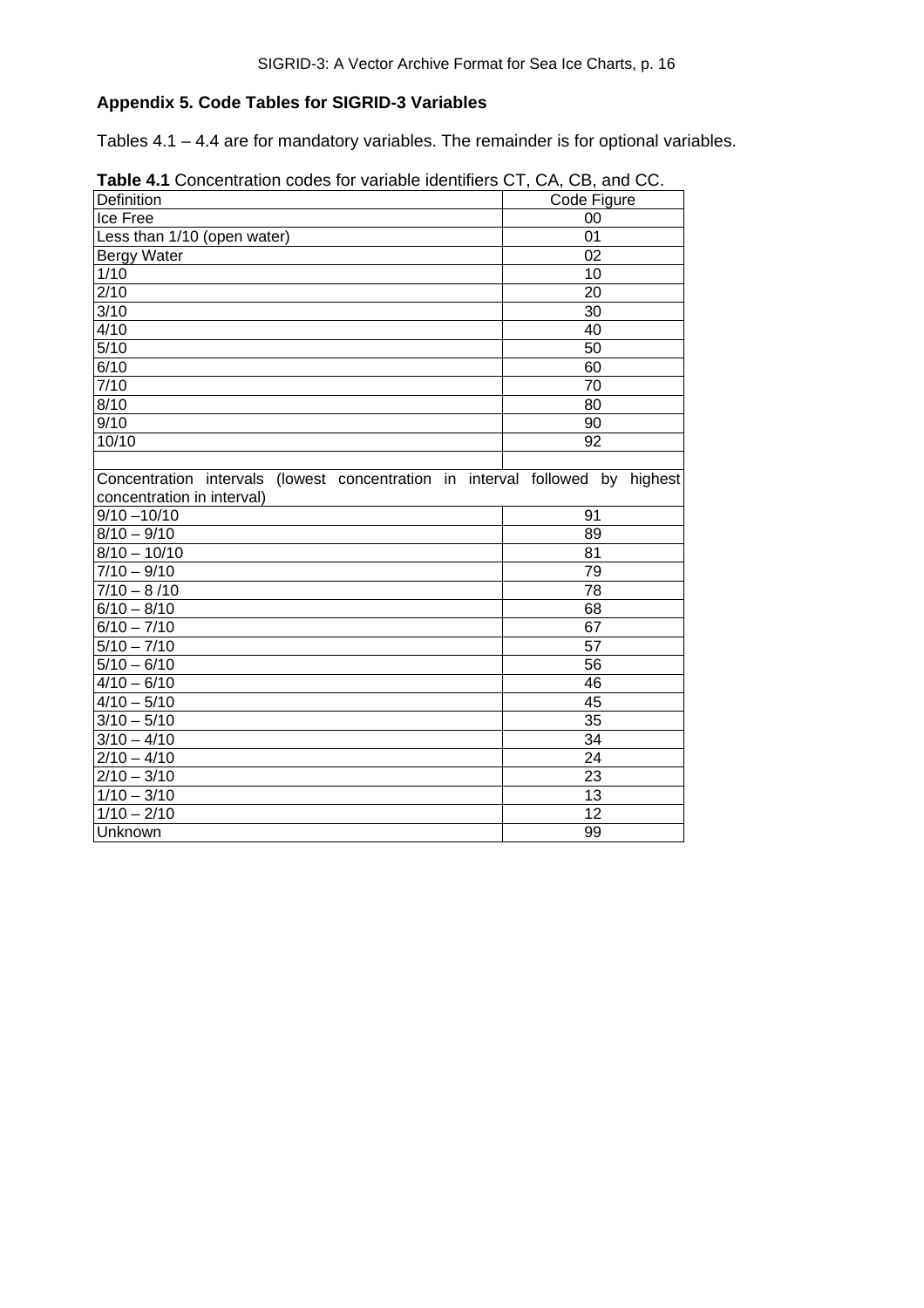# <span id="page-20-0"></span>**Appendix 5. Code Tables for SIGRID-3 Variables**

Tables 4.1 – 4.4 are for mandatory variables. The remainder is for optional variables.

| Definition                                                                    | $\cup$ , $\cup$ , $\cup$ , $\cup$ , $\cup$ , $\cup$ , $\cup$ , $\cup$ , $\cup$ , $\cup$ , $\cup$ , $\cup$ , $\cup$ , $\cup$ , $\cup$ , $\cup$ , $\cup$ , $\cup$ , $\cup$ , $\cup$ , $\cup$ , $\cup$ , $\cup$ , $\cup$ , $\cup$ , $\cup$ , $\cup$ , $\cup$ , $\cup$ , $\cup$ , $\cup$ , $\cup$ , $\cup$ , $\cup$ , $\cup$ , $\cup$ , $\cup$ , |
|-------------------------------------------------------------------------------|----------------------------------------------------------------------------------------------------------------------------------------------------------------------------------------------------------------------------------------------------------------------------------------------------------------------------------------------|
|                                                                               | Code Figure                                                                                                                                                                                                                                                                                                                                  |
| Ice Free                                                                      | 00                                                                                                                                                                                                                                                                                                                                           |
| Less than 1/10 (open water)                                                   | 01                                                                                                                                                                                                                                                                                                                                           |
| <b>Bergy Water</b>                                                            | $\overline{02}$                                                                                                                                                                                                                                                                                                                              |
| 1/10                                                                          | 10                                                                                                                                                                                                                                                                                                                                           |
| $\sqrt{2/10}$                                                                 | 20                                                                                                                                                                                                                                                                                                                                           |
| 3/10                                                                          | 30                                                                                                                                                                                                                                                                                                                                           |
| 4/10                                                                          | 40                                                                                                                                                                                                                                                                                                                                           |
| 5/10                                                                          | 50                                                                                                                                                                                                                                                                                                                                           |
| 6/10                                                                          | 60                                                                                                                                                                                                                                                                                                                                           |
| 7/10                                                                          | $\overline{70}$                                                                                                                                                                                                                                                                                                                              |
| 8/10                                                                          | 80                                                                                                                                                                                                                                                                                                                                           |
| 9/10                                                                          | 90                                                                                                                                                                                                                                                                                                                                           |
| 10/10                                                                         | 92                                                                                                                                                                                                                                                                                                                                           |
|                                                                               |                                                                                                                                                                                                                                                                                                                                              |
| Concentration intervals (lowest concentration in interval followed by highest |                                                                                                                                                                                                                                                                                                                                              |
| concentration in interval)                                                    |                                                                                                                                                                                                                                                                                                                                              |
| $9/10 - 10/10$                                                                | 91                                                                                                                                                                                                                                                                                                                                           |
| $8/10 - 9/10$                                                                 | 89                                                                                                                                                                                                                                                                                                                                           |
| $8/10 - 10/10$                                                                | 81                                                                                                                                                                                                                                                                                                                                           |
| $7/10 - 9/10$                                                                 | 79                                                                                                                                                                                                                                                                                                                                           |
| $7/10 - 8/10$                                                                 | $\overline{78}$                                                                                                                                                                                                                                                                                                                              |
| $6/10 - 8/10$                                                                 | 68                                                                                                                                                                                                                                                                                                                                           |
| $6/10 - 7/10$                                                                 | 67                                                                                                                                                                                                                                                                                                                                           |
| $5/10 - 7/10$                                                                 | 57                                                                                                                                                                                                                                                                                                                                           |
| $5/10 - 6/10$                                                                 | 56                                                                                                                                                                                                                                                                                                                                           |
| $4/10 - 6/10$                                                                 | 46                                                                                                                                                                                                                                                                                                                                           |
| $4/10 - 5/10$                                                                 | 45                                                                                                                                                                                                                                                                                                                                           |
| $3/10 - 5/10$                                                                 | 35                                                                                                                                                                                                                                                                                                                                           |
| $3/10 - 4/10$                                                                 | 34                                                                                                                                                                                                                                                                                                                                           |
| $\sqrt{2/10-4/10}$                                                            | $\overline{24}$                                                                                                                                                                                                                                                                                                                              |
| $2/10 - 3/10$                                                                 | 23                                                                                                                                                                                                                                                                                                                                           |
| $1/10 - 3/10$                                                                 | 13                                                                                                                                                                                                                                                                                                                                           |
| $1/10 - 2/10$                                                                 | 12                                                                                                                                                                                                                                                                                                                                           |
| Unknown                                                                       | 99                                                                                                                                                                                                                                                                                                                                           |

<span id="page-20-1"></span>**Table 4.1** Concentration codes for variable identifiers CT, CA, CB, and CC.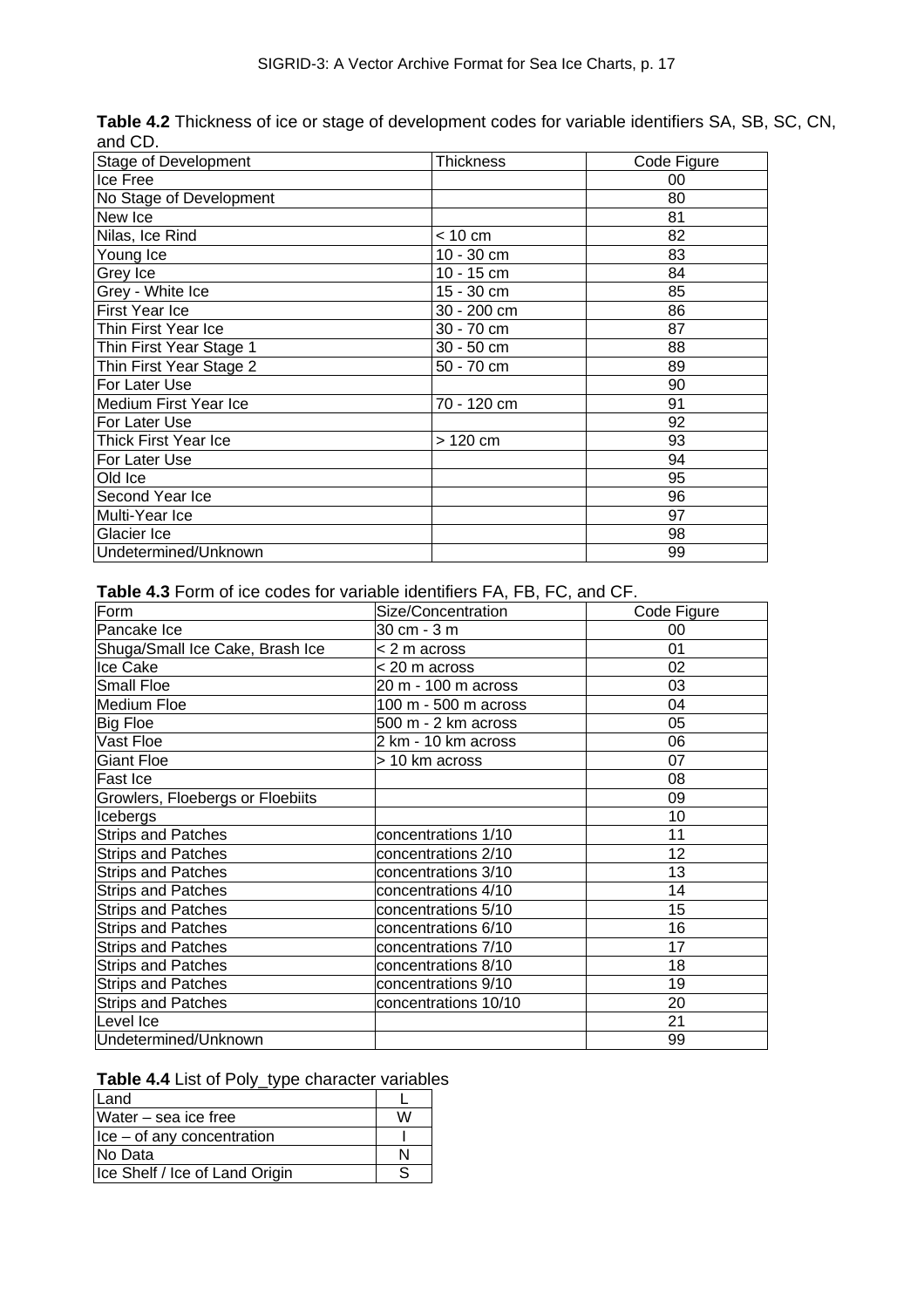| Stage of Development    | Thickness         | Code Figure |
|-------------------------|-------------------|-------------|
| Ice Free                |                   | 00          |
| No Stage of Development |                   | 80          |
| New Ice                 |                   | 81          |
| Nilas, Ice Rind         | $< 10 \text{ cm}$ | 82          |
| Young Ice               | 10 - 30 cm        | 83          |
| Grey Ice                | 10 - 15 cm        | 84          |
| Grey - White Ice        | 15 - 30 cm        | 85          |
| <b>First Year Ice</b>   | 30 - 200 cm       | 86          |
| Thin First Year Ice     | 30 - 70 cm        | 87          |
| Thin First Year Stage 1 | 30 - 50 cm        | 88          |
| Thin First Year Stage 2 | 50 - 70 cm        | 89          |
| For Later Use           |                   | 90          |
| Medium First Year Ice   | 70 - 120 cm       | 91          |
| For Later Use           |                   | 92          |
| Thick First Year Ice    | > 120 cm          | 93          |
| For Later Use           |                   | 94          |
| Old Ice                 |                   | 95          |
| Second Year Ice         |                   | 96          |
| Multi-Year Ice          |                   | 97          |
| Glacier Ice             |                   | 98          |
| Undetermined/Unknown    |                   | 99          |

<span id="page-21-0"></span>**Table 4.2** Thickness of ice or stage of development codes for variable identifiers SA, SB, SC, CN, and CD.

<span id="page-21-1"></span>**Table 4.3** Form of ice codes for variable identifiers FA, FB, FC, and CF.

| Form                             | Size/Concentration   | Code Figure |
|----------------------------------|----------------------|-------------|
| Pancake Ice                      | 30 cm - 3 m          | 00          |
| Shuga/Small Ice Cake, Brash Ice  | < 2 m across         | 01          |
| Ice Cake                         | < 20 m across        | 02          |
| <b>Small Floe</b>                | 20 m - 100 m across  | 03          |
| Medium Floe                      | 100 m - 500 m across | 04          |
| <b>Big Floe</b>                  | 500 m - 2 km across  | 05          |
| Vast Floe                        | 2 km - 10 km across  | 06          |
| <b>Giant Floe</b>                | > 10 km across       | 07          |
| <b>Fast Ice</b>                  |                      | 08          |
| Growlers, Floebergs or Floebiits |                      | 09          |
| Icebergs                         |                      | 10          |
| <b>Strips and Patches</b>        | concentrations 1/10  | 11          |
| <b>Strips and Patches</b>        | concentrations 2/10  | 12          |
| <b>Strips and Patches</b>        | concentrations 3/10  | 13          |
| <b>Strips and Patches</b>        | concentrations 4/10  | 14          |
| <b>Strips and Patches</b>        | concentrations 5/10  | 15          |
| <b>Strips and Patches</b>        | concentrations 6/10  | 16          |
| <b>Strips and Patches</b>        | concentrations 7/10  | 17          |
| <b>Strips and Patches</b>        | concentrations 8/10  | 18          |
| <b>Strips and Patches</b>        | concentrations 9/10  | 19          |
| <b>Strips and Patches</b>        | concentrations 10/10 | 20          |
| Level Ice                        |                      | 21          |
| Undetermined/Unknown             |                      | 99          |

<span id="page-21-2"></span>

| Table 4.4 List of Poly_type character variables |  |  |  |
|-------------------------------------------------|--|--|--|
|-------------------------------------------------|--|--|--|

| Land                           |   |
|--------------------------------|---|
| Water – sea ice free           | w |
| Ice – of any concentration     |   |
| No Data                        |   |
| Ice Shelf / Ice of Land Origin |   |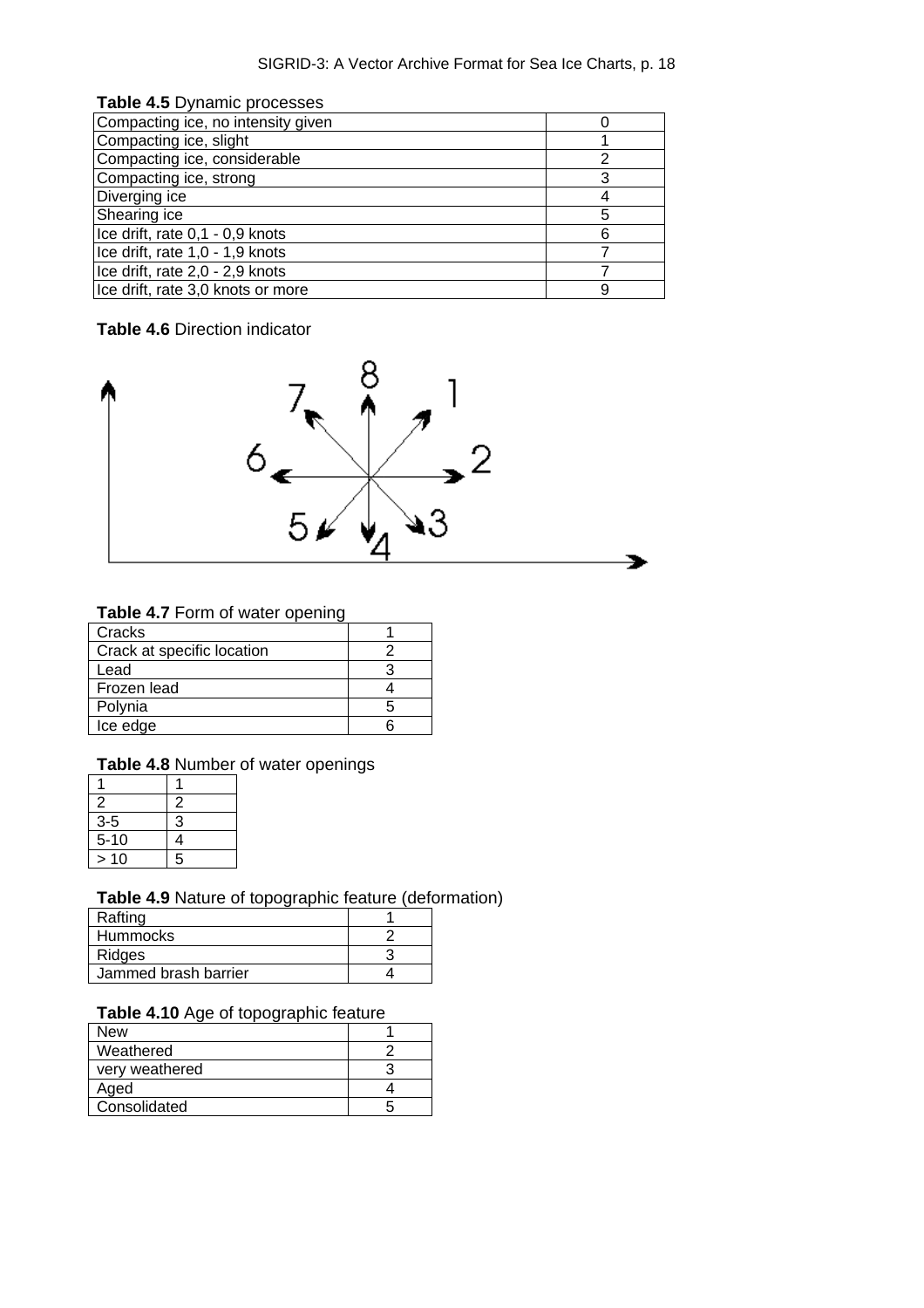<span id="page-22-0"></span>

| Table 4.5 Dynamic processes        |   |
|------------------------------------|---|
| Compacting ice, no intensity given |   |
| Compacting ice, slight             |   |
| Compacting ice, considerable       |   |
| Compacting ice, strong             | 3 |
| Diverging ice                      |   |
| Shearing ice                       | 5 |
| Ice drift, rate 0,1 - 0,9 knots    | 6 |
| Ice drift, rate 1,0 - 1,9 knots    |   |
| Ice drift, rate 2,0 - 2,9 knots    |   |
| Ice drift, rate 3,0 knots or more  |   |

# <span id="page-22-1"></span>**Table 4.6** Direction indicator



## <span id="page-22-2"></span>**Table 4.7** Form of water opening

| Cracks                     |   |
|----------------------------|---|
| Crack at specific location |   |
| Lead                       |   |
| Frozen lead                |   |
| Polynia                    | h |
| Ice edge                   |   |

# <span id="page-22-3"></span>**Table 4.8** Number of water openings

| $\overline{2}$ | 2 |
|----------------|---|
| $3-5$          | 3 |
| $5 - 10$       | 4 |
| 10             | 5 |

# <span id="page-22-4"></span>**Table 4.9** Nature of topographic feature (deformation)

| Rafting              |  |
|----------------------|--|
| <b>Hummocks</b>      |  |
| Ridges               |  |
| Jammed brash barrier |  |

# <span id="page-22-5"></span>**Table 4.10** Age of topographic feature

| New            |  |
|----------------|--|
| Weathered      |  |
| very weathered |  |
| Aged           |  |
| Consolidated   |  |